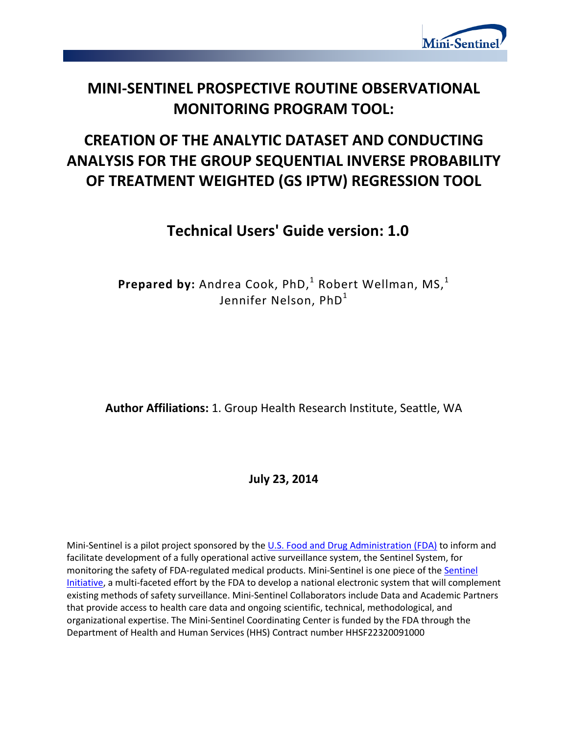

# **MINI-SENTINEL PROSPECTIVE ROUTINE OBSERVATIONAL MONITORING PROGRAM TOOL:**

# **CREATION OF THE ANALYTIC DATASET AND CONDUCTING ANALYSIS FOR THE GROUP SEQUENTIAL INVERSE PROBABILITY OF TREATMENT WEIGHTED (GS IPTW) REGRESSION TOOL**

# **Technical Users' Guide version: 1.0**

 $\mathsf{Prepared\ by:}\ \mathsf{Andrea\ Cook},\ \mathsf{PhD,^1}\ \mathsf{Robert\ Wellman},\ \mathsf{MS,^1}$ Jennifer Nelson, PhD<sup>1</sup>

**Author Affiliations:** 1. Group Health Research Institute, Seattle, WA

**July 23, 2014** 

Mini-Sentinel is a pilot project sponsored by th[e U.S. Food and Drug Administration \(FDA\)](http://www.fda.gov/) to inform and facilitate development of a fully operational active surveillance system, the Sentinel System, for monitoring the safety of FDA-regulated medical products. Mini-Sentinel is one piece of the [Sentinel](http://www.fda.gov/Safety/FDAsSentinelInitiative/default.htm)  [Initiative,](http://www.fda.gov/Safety/FDAsSentinelInitiative/default.htm) a multi-faceted effort by the FDA to develop a national electronic system that will complement existing methods of safety surveillance. Mini-Sentinel Collaborators include Data and Academic Partners that provide access to health care data and ongoing scientific, technical, methodological, and organizational expertise. The Mini-Sentinel Coordinating Center is funded by the FDA through the Department of Health and Human Services (HHS) Contract number HHSF22320091000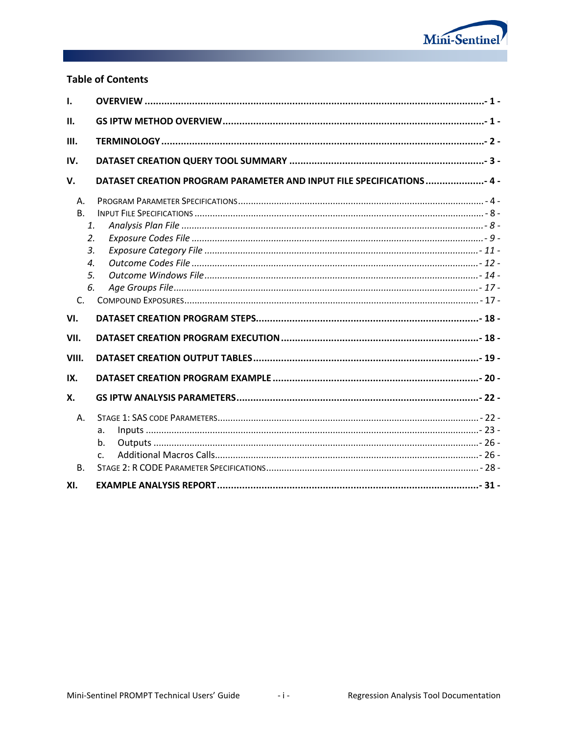

## **Table of Contents**

| $\mathbf{I}$                                                                                       |                                                                       |  |  |  |  |
|----------------------------------------------------------------------------------------------------|-----------------------------------------------------------------------|--|--|--|--|
| II.                                                                                                |                                                                       |  |  |  |  |
| III.                                                                                               |                                                                       |  |  |  |  |
| IV.                                                                                                |                                                                       |  |  |  |  |
| V.                                                                                                 | DATASET CREATION PROGRAM PARAMETER AND INPUT FILE SPECIFICATIONS  4 - |  |  |  |  |
| $A_{1}$<br>B <sub>1</sub><br>1.<br>2.<br>3.<br>$\boldsymbol{\mathcal{A}}$ .<br>5.<br>6.<br>$C_{1}$ |                                                                       |  |  |  |  |
| VI.                                                                                                |                                                                       |  |  |  |  |
| VII.                                                                                               |                                                                       |  |  |  |  |
| VIII.                                                                                              |                                                                       |  |  |  |  |
| IX.                                                                                                |                                                                       |  |  |  |  |
| X.                                                                                                 |                                                                       |  |  |  |  |
| A.                                                                                                 | a.<br>b.<br>C.                                                        |  |  |  |  |
| <b>B.</b><br>XI.                                                                                   |                                                                       |  |  |  |  |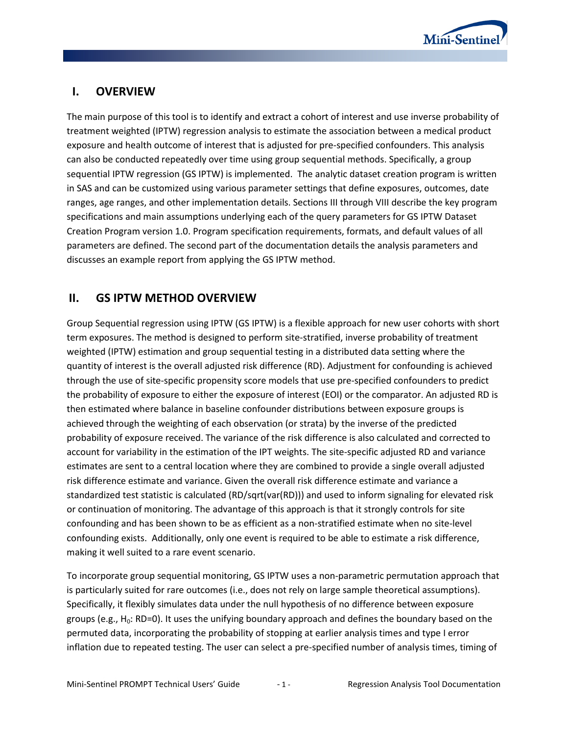

# **I. OVERVIEW**

The main purpose of this tool is to identify and extract a cohort of interest and use inverse probability of treatment weighted (IPTW) regression analysis to estimate the association between a medical product exposure and health outcome of interest that is adjusted for pre-specified confounders. This analysis can also be conducted repeatedly over time using group sequential methods. Specifically, a group sequential IPTW regression (GS IPTW) is implemented. The analytic dataset creation program is written in SAS and can be customized using various parameter settings that define exposures, outcomes, date ranges, age ranges, and other implementation details. Sections III through VIII describe the key program specifications and main assumptions underlying each of the query parameters for GS IPTW Dataset Creation Program version 1.0. Program specification requirements, formats, and default values of all parameters are defined. The second part of the documentation details the analysis parameters and discusses an example report from applying the GS IPTW method.

# **II. GS IPTW METHOD OVERVIEW**

Group Sequential regression using IPTW (GS IPTW) is a flexible approach for new user cohorts with short term exposures. The method is designed to perform site-stratified, inverse probability of treatment weighted (IPTW) estimation and group sequential testing in a distributed data setting where the quantity of interest is the overall adjusted risk difference (RD). Adjustment for confounding is achieved through the use of site-specific propensity score models that use pre-specified confounders to predict the probability of exposure to either the exposure of interest (EOI) or the comparator. An adjusted RD is then estimated where balance in baseline confounder distributions between exposure groups is achieved through the weighting of each observation (or strata) by the inverse of the predicted probability of exposure received. The variance of the risk difference is also calculated and corrected to account for variability in the estimation of the IPT weights. The site-specific adjusted RD and variance estimates are sent to a central location where they are combined to provide a single overall adjusted risk difference estimate and variance. Given the overall risk difference estimate and variance a standardized test statistic is calculated (RD/sqrt(var(RD))) and used to inform signaling for elevated risk or continuation of monitoring. The advantage of this approach is that it strongly controls for site confounding and has been shown to be as efficient as a non-stratified estimate when no site-level confounding exists. Additionally, only one event is required to be able to estimate a risk difference, making it well suited to a rare event scenario.

To incorporate group sequential monitoring, GS IPTW uses a non-parametric permutation approach that is particularly suited for rare outcomes (i.e., does not rely on large sample theoretical assumptions). Specifically, it flexibly simulates data under the null hypothesis of no difference between exposure groups (e.g.,  $H_0$ : RD=0). It uses the unifying boundary approach and defines the boundary based on the permuted data, incorporating the probability of stopping at earlier analysis times and type I error inflation due to repeated testing. The user can select a pre-specified number of analysis times, timing of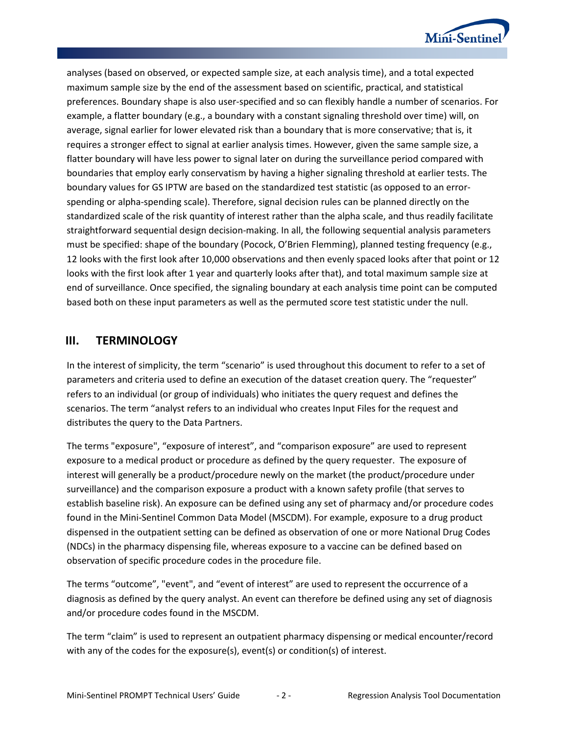

analyses (based on observed, or expected sample size, at each analysis time), and a total expected maximum sample size by the end of the assessment based on scientific, practical, and statistical preferences. Boundary shape is also user-specified and so can flexibly handle a number of scenarios. For example, a flatter boundary (e.g., a boundary with a constant signaling threshold over time) will, on average, signal earlier for lower elevated risk than a boundary that is more conservative; that is, it requires a stronger effect to signal at earlier analysis times. However, given the same sample size, a flatter boundary will have less power to signal later on during the surveillance period compared with boundaries that employ early conservatism by having a higher signaling threshold at earlier tests. The boundary values for GS IPTW are based on the standardized test statistic (as opposed to an errorspending or alpha-spending scale). Therefore, signal decision rules can be planned directly on the standardized scale of the risk quantity of interest rather than the alpha scale, and thus readily facilitate straightforward sequential design decision-making. In all, the following sequential analysis parameters must be specified: shape of the boundary (Pocock, O'Brien Flemming), planned testing frequency (e.g., 12 looks with the first look after 10,000 observations and then evenly spaced looks after that point or 12 looks with the first look after 1 year and quarterly looks after that), and total maximum sample size at end of surveillance. Once specified, the signaling boundary at each analysis time point can be computed based both on these input parameters as well as the permuted score test statistic under the null.

### **III. TERMINOLOGY**

In the interest of simplicity, the term "scenario" is used throughout this document to refer to a set of parameters and criteria used to define an execution of the dataset creation query. The "requester" refers to an individual (or group of individuals) who initiates the query request and defines the scenarios. The term "analyst refers to an individual who creates Input Files for the request and distributes the query to the Data Partners.

The terms "exposure", "exposure of interest", and "comparison exposure" are used to represent exposure to a medical product or procedure as defined by the query requester. The exposure of interest will generally be a product/procedure newly on the market (the product/procedure under surveillance) and the comparison exposure a product with a known safety profile (that serves to establish baseline risk). An exposure can be defined using any set of pharmacy and/or procedure codes found in the Mini-Sentinel Common Data Model (MSCDM). For example, exposure to a drug product dispensed in the outpatient setting can be defined as observation of one or more National Drug Codes (NDCs) in the pharmacy dispensing file, whereas exposure to a vaccine can be defined based on observation of specific procedure codes in the procedure file.

The terms "outcome", "event", and "event of interest" are used to represent the occurrence of a diagnosis as defined by the query analyst. An event can therefore be defined using any set of diagnosis and/or procedure codes found in the MSCDM.

The term "claim" is used to represent an outpatient pharmacy dispensing or medical encounter/record with any of the codes for the exposure(s), event(s) or condition(s) of interest.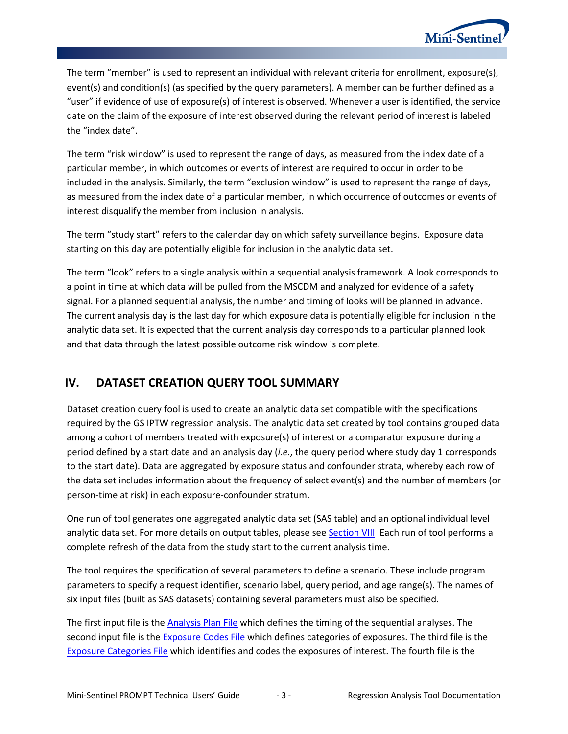

The term "member" is used to represent an individual with relevant criteria for enrollment, exposure(s), event(s) and condition(s) (as specified by the query parameters). A member can be further defined as a "user" if evidence of use of exposure(s) of interest is observed. Whenever a user is identified, the service date on the claim of the exposure of interest observed during the relevant period of interest is labeled the "index date".

The term "risk window" is used to represent the range of days, as measured from the index date of a particular member, in which outcomes or events of interest are required to occur in order to be included in the analysis. Similarly, the term "exclusion window" is used to represent the range of days, as measured from the index date of a particular member, in which occurrence of outcomes or events of interest disqualify the member from inclusion in analysis.

The term "study start" refers to the calendar day on which safety surveillance begins. Exposure data starting on this day are potentially eligible for inclusion in the analytic data set.

The term "look" refers to a single analysis within a sequential analysis framework. A look corresponds to a point in time at which data will be pulled from the MSCDM and analyzed for evidence of a safety signal. For a planned sequential analysis, the number and timing of looks will be planned in advance. The current analysis day is the last day for which exposure data is potentially eligible for inclusion in the analytic data set. It is expected that the current analysis day corresponds to a particular planned look and that data through the latest possible outcome risk window is complete.

# **IV. DATASET CREATION QUERY TOOL SUMMARY**

Dataset creation query fool is used to create an analytic data set compatible with the specifications required by the GS IPTW regression analysis. The analytic data set created by tool contains grouped data among a cohort of members treated with exposure(s) of interest or a comparator exposure during a period defined by a start date and an analysis day (*i.e.*, the query period where study day 1 corresponds to the start date). Data are aggregated by exposure status and confounder strata, whereby each row of the data set includes information about the frequency of select event(s) and the number of members (or person-time at risk) in each exposure-confounder stratum.

One run of tool generates one aggregated analytic data set (SAS table) and an optional individual level analytic data set. For more details on output tables, please see [Section VIII](#page-20-0) Each run of tool performs a complete refresh of the data from the study start to the current analysis time.

The tool requires the specification of several parameters to define a scenario. These include program parameters to specify a request identifier, scenario label, query period, and age range(s). The names of six input files (built as SAS datasets) containing several parameters must also be specified.

The first input file is the [Analysis Plan](#page-9-0) File which defines the timing of the sequential analyses. The second input file is th[e Exposure Codes](#page-10-0) File which defines categories of exposures. The third file is the [Exposure Categories File](#page-12-0) which identifies and codes the exposures of interest. The fourth file is the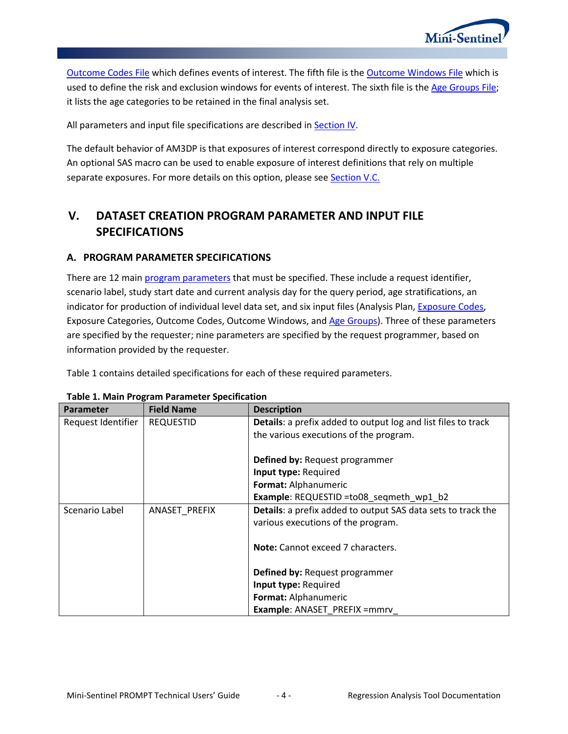

[Outcome Codes File](#page-13-0) which defines events of interest. The fifth file is the [Outcome Windows File](#page-15-0) which is used to define the risk and exclusion windows for events of interest. The sixth file is the [Age Groups File;](#page-17-0) it lists the age categories to be retained in the final analysis set.

All parameters and input file specifications are described in [Section IV.](#page-5-0)

The default behavior of AM3DP is that exposures of interest correspond directly to exposure categories. An optional SAS macro can be used to enable exposure of interest definitions that rely on multiple separate exposures. For more details on this option, please see **Section V.C.** 

# <span id="page-5-0"></span>**V. DATASET CREATION PROGRAM PARAMETER AND INPUT FILE SPECIFICATIONS**

### <span id="page-5-1"></span>**A. PROGRAM PARAMETER SPECIFICATIONS**

There are 12 main [program parameters](#page-5-1) that must be specified. These include a request identifier, scenario label, study start date and current analysis day for the query period, age stratifications, an indicator for production of individual level data set, and six input files (Analysis Plan, [Exposure Codes,](#page-10-0) Exposure Categories, Outcome Codes, Outcome Windows, and Age [Groups\)](#page-17-0). Three of these parameters are specified by the requester; nine parameters are specified by the request programmer, based on information provided by the requester.

[Table 1](#page-5-2) contains detailed specifications for each of these required parameters.

| <b>Parameter</b>   | <b>Field Name</b> | <b>Description</b>                                                   |
|--------------------|-------------------|----------------------------------------------------------------------|
| Request Identifier | <b>REQUESTID</b>  | <b>Details:</b> a prefix added to output log and list files to track |
|                    |                   | the various executions of the program.                               |
|                    |                   | Defined by: Request programmer                                       |
|                    |                   | Input type: Required                                                 |
|                    |                   | Format: Alphanumeric                                                 |
|                    |                   | Example: REQUESTID =to08_seqmeth_wp1_b2                              |
| Scenario Label     | ANASET PREFIX     | Details: a prefix added to output SAS data sets to track the         |
|                    |                   | various executions of the program.                                   |
|                    |                   | Note: Cannot exceed 7 characters.                                    |
|                    |                   | Defined by: Request programmer                                       |
|                    |                   | Input type: Required                                                 |
|                    |                   | Format: Alphanumeric                                                 |
|                    |                   | <b>Example: ANASET PREFIX = mmrv</b>                                 |

<span id="page-5-2"></span>**Table 1. Main Program Parameter Specification**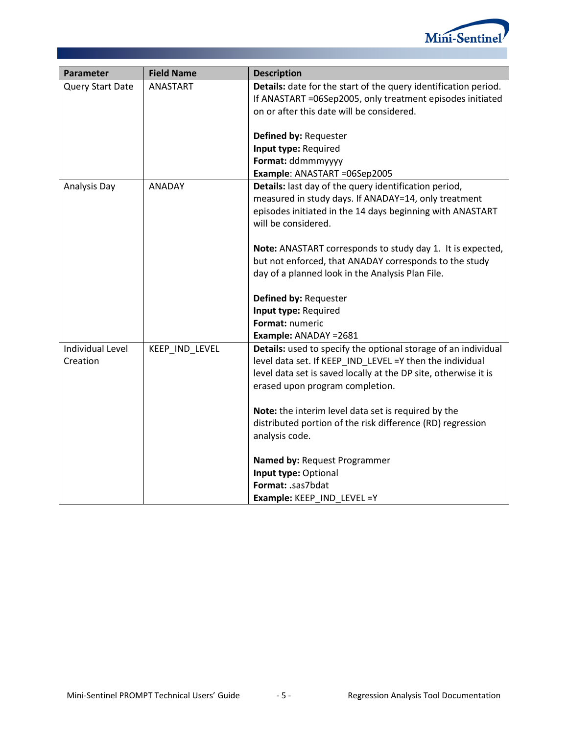

| Parameter               | <b>Field Name</b> | <b>Description</b>                                              |
|-------------------------|-------------------|-----------------------------------------------------------------|
| Query Start Date        | ANASTART          | Details: date for the start of the query identification period. |
|                         |                   | If ANASTART =06Sep2005, only treatment episodes initiated       |
|                         |                   | on or after this date will be considered.                       |
|                         |                   |                                                                 |
|                         |                   | Defined by: Requester                                           |
|                         |                   | Input type: Required                                            |
|                         |                   | Format: ddmmmyyyy                                               |
|                         |                   | Example: ANASTART =06Sep2005                                    |
| Analysis Day            | ANADAY            | Details: last day of the query identification period,           |
|                         |                   | measured in study days. If ANADAY=14, only treatment            |
|                         |                   | episodes initiated in the 14 days beginning with ANASTART       |
|                         |                   | will be considered.                                             |
|                         |                   | Note: ANASTART corresponds to study day 1. It is expected,      |
|                         |                   | but not enforced, that ANADAY corresponds to the study          |
|                         |                   | day of a planned look in the Analysis Plan File.                |
|                         |                   |                                                                 |
|                         |                   | Defined by: Requester                                           |
|                         |                   | Input type: Required                                            |
|                         |                   | Format: numeric                                                 |
|                         |                   | Example: ANADAY = 2681                                          |
| <b>Individual Level</b> | KEEP_IND_LEVEL    | Details: used to specify the optional storage of an individual  |
| Creation                |                   | level data set. If KEEP_IND_LEVEL =Y then the individual        |
|                         |                   | level data set is saved locally at the DP site, otherwise it is |
|                         |                   | erased upon program completion.                                 |
|                         |                   |                                                                 |
|                         |                   | Note: the interim level data set is required by the             |
|                         |                   | distributed portion of the risk difference (RD) regression      |
|                         |                   | analysis code.                                                  |
|                         |                   | Named by: Request Programmer                                    |
|                         |                   | Input type: Optional                                            |
|                         |                   | Format: .sas7bdat                                               |
|                         |                   | Example: KEEP_IND_LEVEL =Y                                      |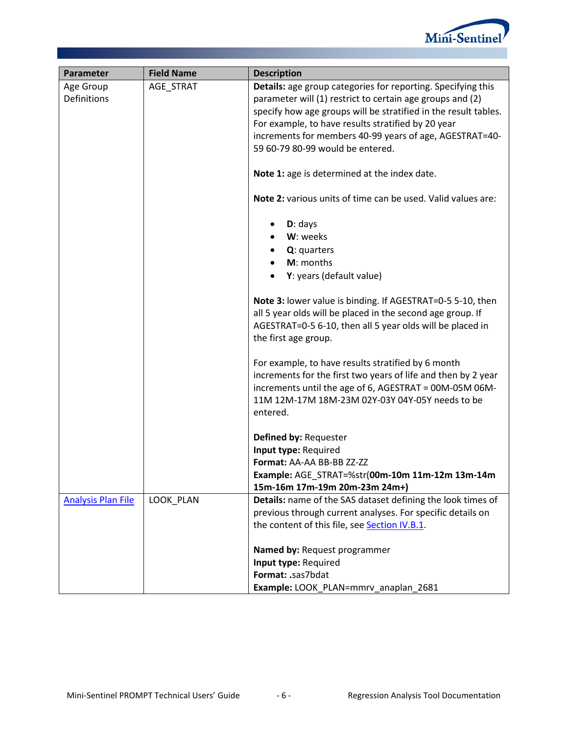

| Parameter                 | <b>Field Name</b> | <b>Description</b>                                                  |
|---------------------------|-------------------|---------------------------------------------------------------------|
| Age Group                 | AGE_STRAT         | <b>Details:</b> age group categories for reporting. Specifying this |
| <b>Definitions</b>        |                   | parameter will (1) restrict to certain age groups and (2)           |
|                           |                   | specify how age groups will be stratified in the result tables.     |
|                           |                   | For example, to have results stratified by 20 year                  |
|                           |                   | increments for members 40-99 years of age, AGESTRAT=40-             |
|                           |                   | 59 60-79 80-99 would be entered.                                    |
|                           |                   | Note 1: age is determined at the index date.                        |
|                           |                   | Note 2: various units of time can be used. Valid values are:        |
|                           |                   | $D:$ days                                                           |
|                           |                   | W: weeks                                                            |
|                           |                   | Q: quarters                                                         |
|                           |                   | M: months                                                           |
|                           |                   | Y: years (default value)                                            |
|                           |                   | Note 3: lower value is binding. If AGESTRAT=0-5 5-10, then          |
|                           |                   | all 5 year olds will be placed in the second age group. If          |
|                           |                   | AGESTRAT=0-5 6-10, then all 5 year olds will be placed in           |
|                           |                   | the first age group.                                                |
|                           |                   | For example, to have results stratified by 6 month                  |
|                           |                   | increments for the first two years of life and then by 2 year       |
|                           |                   | increments until the age of 6, AGESTRAT = 00M-05M 06M-              |
|                           |                   | 11M 12M-17M 18M-23M 02Y-03Y 04Y-05Y needs to be                     |
|                           |                   | entered.                                                            |
|                           |                   | Defined by: Requester                                               |
|                           |                   | Input type: Required                                                |
|                           |                   | Format: AA-AA BB-BB ZZ-ZZ                                           |
|                           |                   | Example: AGE STRAT=%str(00m-10m 11m-12m 13m-14m                     |
|                           |                   | 15m-16m 17m-19m 20m-23m 24m+)                                       |
| <b>Analysis Plan File</b> | LOOK_PLAN         | Details: name of the SAS dataset defining the look times of         |
|                           |                   | previous through current analyses. For specific details on          |
|                           |                   | the content of this file, see Section IV.B.1.                       |
|                           |                   | Named by: Request programmer                                        |
|                           |                   | Input type: Required                                                |
|                           |                   | Format: .sas7bdat                                                   |
|                           |                   | Example: LOOK PLAN=mmrv anaplan 2681                                |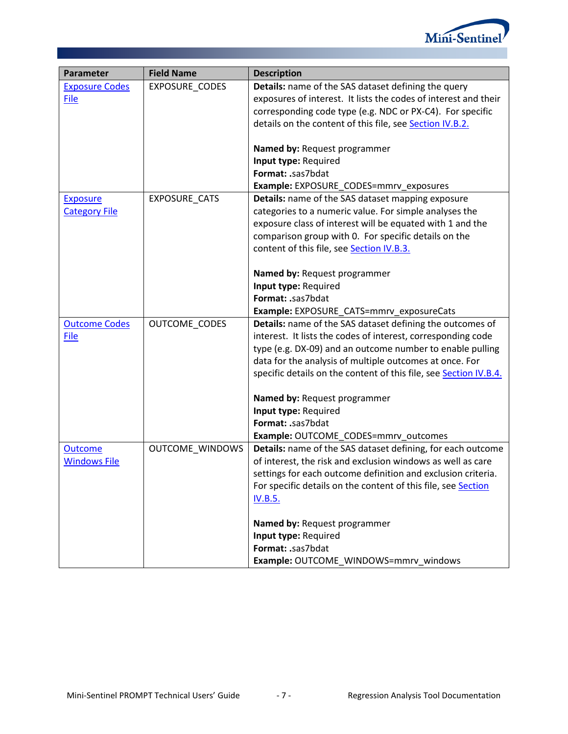

| Parameter             | <b>Field Name</b>      | <b>Description</b>                                                |
|-----------------------|------------------------|-------------------------------------------------------------------|
| <b>Exposure Codes</b> | EXPOSURE_CODES         | <b>Details:</b> name of the SAS dataset defining the query        |
| File                  |                        | exposures of interest. It lists the codes of interest and their   |
|                       |                        | corresponding code type (e.g. NDC or PX-C4). For specific         |
|                       |                        | details on the content of this file, see Section IV.B.2.          |
|                       |                        |                                                                   |
|                       |                        | Named by: Request programmer                                      |
|                       |                        | Input type: Required                                              |
|                       |                        | Format: .sas7bdat                                                 |
|                       |                        | Example: EXPOSURE_CODES=mmrv_exposures                            |
| <b>Exposure</b>       | EXPOSURE_CATS          | <b>Details:</b> name of the SAS dataset mapping exposure          |
| <b>Category File</b>  |                        | categories to a numeric value. For simple analyses the            |
|                       |                        | exposure class of interest will be equated with 1 and the         |
|                       |                        | comparison group with 0. For specific details on the              |
|                       |                        | content of this file, see Section IV.B.3.                         |
|                       |                        | Named by: Request programmer                                      |
|                       |                        | Input type: Required                                              |
|                       |                        | Format: .sas7bdat                                                 |
|                       |                        | Example: EXPOSURE_CATS=mmrv_exposureCats                          |
| <b>Outcome Codes</b>  | OUTCOME_CODES          | Details: name of the SAS dataset defining the outcomes of         |
| File                  |                        | interest. It lists the codes of interest, corresponding code      |
|                       |                        | type (e.g. DX-09) and an outcome number to enable pulling         |
|                       |                        | data for the analysis of multiple outcomes at once. For           |
|                       |                        | specific details on the content of this file, see Section IV.B.4. |
|                       |                        |                                                                   |
|                       |                        | Named by: Request programmer                                      |
|                       |                        | Input type: Required                                              |
|                       |                        | Format: .sas7bdat                                                 |
|                       |                        | Example: OUTCOME_CODES=mmrv_outcomes                              |
| <b>Outcome</b>        | <b>OUTCOME WINDOWS</b> | Details: name of the SAS dataset defining, for each outcome       |
| <b>Windows File</b>   |                        | of interest, the risk and exclusion windows as well as care       |
|                       |                        | settings for each outcome definition and exclusion criteria.      |
|                       |                        | For specific details on the content of this file, see Section     |
|                       |                        | <b>IV.B.5.</b>                                                    |
|                       |                        | Named by: Request programmer                                      |
|                       |                        | Input type: Required                                              |
|                       |                        | Format: .sas7bdat                                                 |
|                       |                        | Example: OUTCOME_WINDOWS=mmrv_windows                             |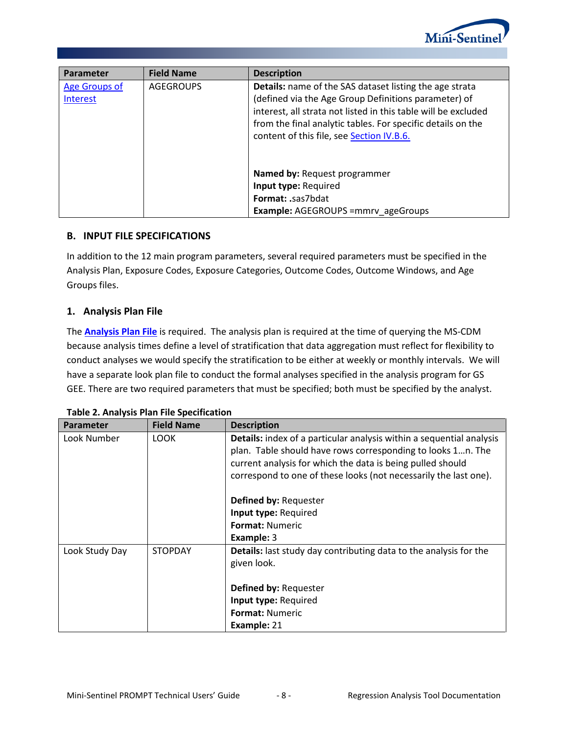

| Parameter                 | <b>Field Name</b> | <b>Description</b>                                                                                                                                                                       |
|---------------------------|-------------------|------------------------------------------------------------------------------------------------------------------------------------------------------------------------------------------|
| Age Groups of<br>Interest | <b>AGEGROUPS</b>  | <b>Details:</b> name of the SAS dataset listing the age strata<br>(defined via the Age Group Definitions parameter) of<br>interest, all strata not listed in this table will be excluded |
|                           |                   | from the final analytic tables. For specific details on the<br>content of this file, see Section IV.B.6.                                                                                 |
|                           |                   | <b>Named by: Request programmer</b>                                                                                                                                                      |
|                           |                   | Input type: Required                                                                                                                                                                     |
|                           |                   | <b>Format: .sas7bdat</b>                                                                                                                                                                 |
|                           |                   | <b>Example: AGEGROUPS = mmrv ageGroups</b>                                                                                                                                               |

#### **B. INPUT FILE SPECIFICATIONS**

In addition to the 12 main program parameters, several required parameters must be specified in the Analysis Plan, Exposure Codes, Exposure Categories, Outcome Codes, Outcome Windows, and Age Groups files.

### <span id="page-9-0"></span>**1. Analysis Plan File**

The **[Analysis Plan File](#page-9-0)** is required. The analysis plan is required at the time of querying the MS-CDM because analysis times define a level of stratification that data aggregation must reflect for flexibility to conduct analyses we would specify the stratification to be either at weekly or monthly intervals. We will have a separate look plan file to conduct the formal analyses specified in the analysis program for GS GEE. There are two required parameters that must be specified; both must be specified by the analyst.

| <b>Parameter</b> | <b>Field Name</b> | <b>Description</b>                                                       |
|------------------|-------------------|--------------------------------------------------------------------------|
| Look Number      | <b>LOOK</b>       | Details: index of a particular analysis within a sequential analysis     |
|                  |                   | plan. Table should have rows corresponding to looks 1n. The              |
|                  |                   | current analysis for which the data is being pulled should               |
|                  |                   | correspond to one of these looks (not necessarily the last one).         |
|                  |                   | Defined by: Requester                                                    |
|                  |                   | Input type: Required                                                     |
|                  |                   | <b>Format: Numeric</b>                                                   |
|                  |                   | Example: 3                                                               |
| Look Study Day   | <b>STOPDAY</b>    | <b>Details:</b> last study day contributing data to the analysis for the |
|                  |                   | given look.                                                              |
|                  |                   | <b>Defined by: Requester</b>                                             |
|                  |                   | Input type: Required                                                     |
|                  |                   | <b>Format: Numeric</b>                                                   |
|                  |                   | Example: 21                                                              |

|  |  |  |  | Table 2. Analysis Plan File Specification |
|--|--|--|--|-------------------------------------------|
|--|--|--|--|-------------------------------------------|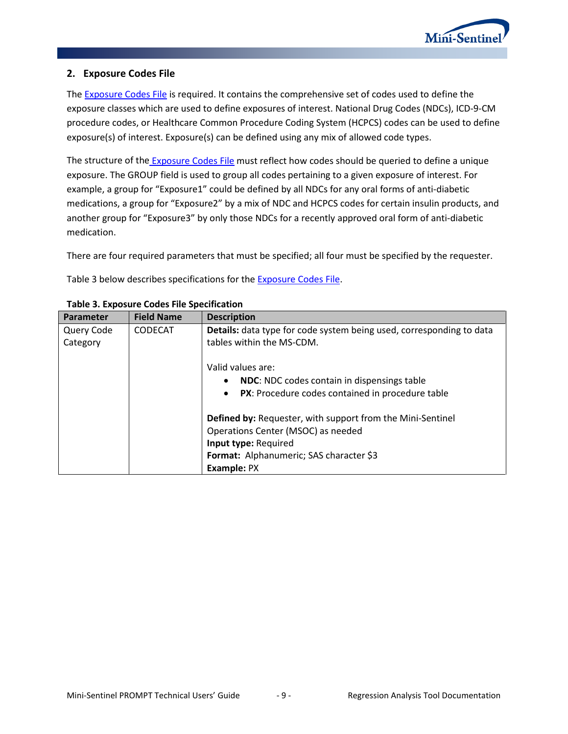

### <span id="page-10-0"></span>**2. Exposure Codes File**

The **Exposure Codes File is required.** It contains the comprehensive set of codes used to define the exposure classes which are used to define exposures of interest. National Drug Codes (NDCs), ICD-9-CM procedure codes, or Healthcare Common Procedure Coding System (HCPCS) codes can be used to define exposure(s) of interest. Exposure(s) can be defined using any mix of allowed code types.

The structure of the **[Exposure Codes File](#page-10-0)** must reflect how codes should be queried to define a unique exposure. The GROUP field is used to group all codes pertaining to a given exposure of interest. For example, a group for "Exposure1" could be defined by all NDCs for any oral forms of anti-diabetic medications, a group for "Exposure2" by a mix of NDC and HCPCS codes for certain insulin products, and another group for "Exposure3" by only those NDCs for a recently approved oral form of anti-diabetic medication.

There are four required parameters that must be specified; all four must be specified by the requester.

[Table 3](#page-10-1) below describes specifications for the **Exposure Codes File**.

| <b>Parameter</b> | <b>Field Name</b> | <b>Description</b>                                                          |
|------------------|-------------------|-----------------------------------------------------------------------------|
| Query Code       | <b>CODECAT</b>    | <b>Details:</b> data type for code system being used, corresponding to data |
| Category         |                   | tables within the MS-CDM.                                                   |
|                  |                   |                                                                             |
|                  |                   | Valid values are:                                                           |
|                  |                   | <b>NDC:</b> NDC codes contain in dispensings table<br>$\bullet$             |
|                  |                   | PX: Procedure codes contained in procedure table<br>$\bullet$               |
|                  |                   | <b>Defined by: Requester, with support from the Mini-Sentinel</b>           |
|                  |                   | Operations Center (MSOC) as needed                                          |
|                  |                   |                                                                             |
|                  |                   | Input type: Required                                                        |
|                  |                   | Format: Alphanumeric; SAS character \$3                                     |
|                  |                   | Example: PX                                                                 |

#### <span id="page-10-1"></span>**Table 3. Exposure Codes File Specification**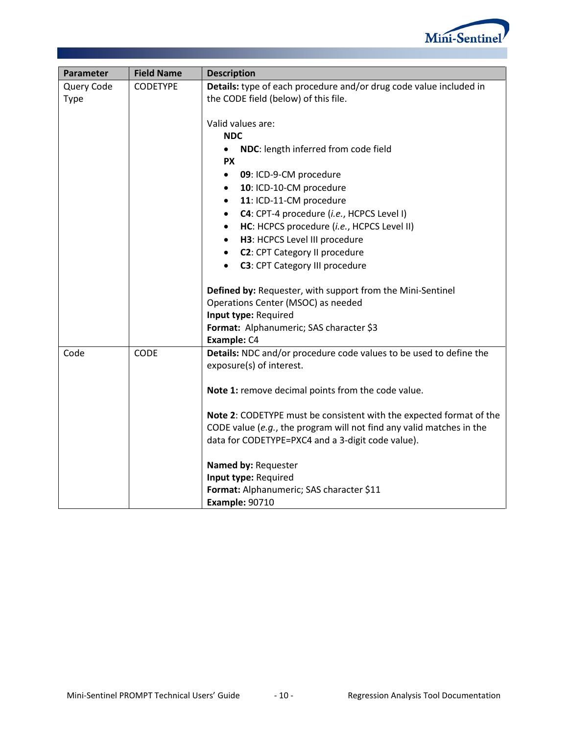

| Parameter   | <b>Field Name</b> | <b>Description</b>                                                   |
|-------------|-------------------|----------------------------------------------------------------------|
| Query Code  | <b>CODETYPE</b>   | Details: type of each procedure and/or drug code value included in   |
| <b>Type</b> |                   | the CODE field (below) of this file.                                 |
|             |                   |                                                                      |
|             |                   | Valid values are:                                                    |
|             |                   | <b>NDC</b>                                                           |
|             |                   | NDC: length inferred from code field                                 |
|             |                   | <b>PX</b>                                                            |
|             |                   | 09: ICD-9-CM procedure<br>$\bullet$                                  |
|             |                   | 10: ICD-10-CM procedure<br>$\bullet$                                 |
|             |                   | 11: ICD-11-CM procedure<br>$\bullet$                                 |
|             |                   | C4: CPT-4 procedure (i.e., HCPCS Level I)<br>$\bullet$               |
|             |                   | HC: HCPCS procedure (i.e., HCPCS Level II)<br>$\bullet$              |
|             |                   | H3: HCPCS Level III procedure<br>$\bullet$                           |
|             |                   | <b>C2: CPT Category II procedure</b><br>$\bullet$                    |
|             |                   | <b>C3: CPT Category III procedure</b><br>$\bullet$                   |
|             |                   | Defined by: Requester, with support from the Mini-Sentinel           |
|             |                   | Operations Center (MSOC) as needed                                   |
|             |                   | Input type: Required                                                 |
|             |                   | Format: Alphanumeric; SAS character \$3                              |
|             |                   | Example: C4                                                          |
| Code        | <b>CODE</b>       | Details: NDC and/or procedure code values to be used to define the   |
|             |                   | exposure(s) of interest.                                             |
|             |                   |                                                                      |
|             |                   | Note 1: remove decimal points from the code value.                   |
|             |                   | Note 2: CODETYPE must be consistent with the expected format of the  |
|             |                   | CODE value (e.g., the program will not find any valid matches in the |
|             |                   | data for CODETYPE=PXC4 and a 3-digit code value).                    |
|             |                   | Named by: Requester                                                  |
|             |                   | Input type: Required                                                 |
|             |                   | Format: Alphanumeric; SAS character \$11                             |
|             |                   | <b>Example: 90710</b>                                                |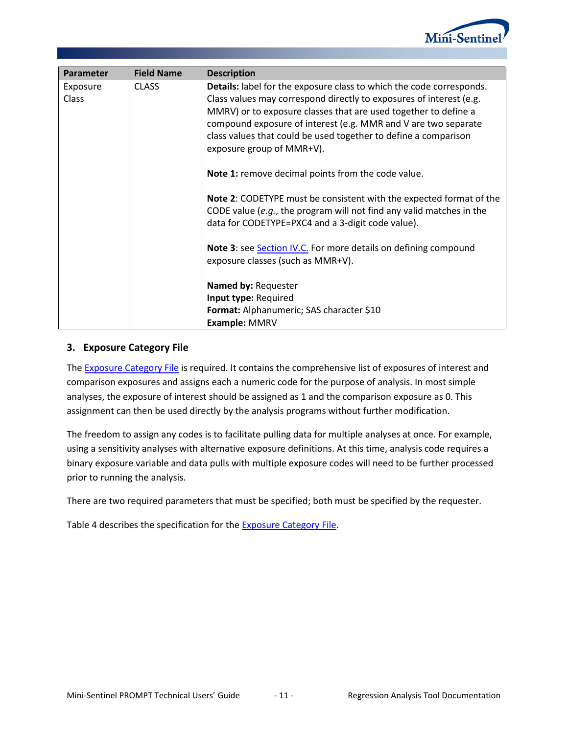

| Parameter | <b>Field Name</b> | <b>Description</b>                                                   |
|-----------|-------------------|----------------------------------------------------------------------|
| Exposure  | <b>CLASS</b>      | Details: label for the exposure class to which the code corresponds. |
| Class     |                   | Class values may correspond directly to exposures of interest (e.g.  |
|           |                   | MMRV) or to exposure classes that are used together to define a      |
|           |                   | compound exposure of interest (e.g. MMR and V are two separate       |
|           |                   | class values that could be used together to define a comparison      |
|           |                   | exposure group of MMR+V).                                            |
|           |                   | Note 1: remove decimal points from the code value.                   |
|           |                   |                                                                      |
|           |                   | Note 2: CODETYPE must be consistent with the expected format of the  |
|           |                   | CODE value (e.g., the program will not find any valid matches in the |
|           |                   | data for CODETYPE=PXC4 and a 3-digit code value).                    |
|           |                   | Note 3: see Section IV.C. For more details on defining compound      |
|           |                   | exposure classes (such as MMR+V).                                    |
|           |                   |                                                                      |
|           |                   | Named by: Requester                                                  |
|           |                   | Input type: Required                                                 |
|           |                   | Format: Alphanumeric; SAS character \$10                             |
|           |                   | Example: MMRV                                                        |

#### <span id="page-12-0"></span>**3. Exposure Category File**

The [Exposure Category](#page-12-0) File is required. It contains the comprehensive list of exposures of interest and comparison exposures and assigns each a numeric code for the purpose of analysis. In most simple analyses, the exposure of interest should be assigned as 1 and the comparison exposure as 0. This assignment can then be used directly by the analysis programs without further modification.

The freedom to assign any codes is to facilitate pulling data for multiple analyses at once. For example, using a sensitivity analyses with alternative exposure definitions. At this time, analysis code requires a binary exposure variable and data pulls with multiple exposure codes will need to be further processed prior to running the analysis.

There are two required parameters that must be specified; both must be specified by the requester.

<span id="page-12-1"></span>[Table 4](#page-12-1) describes the specification for the [Exposure Category](#page-12-0) File.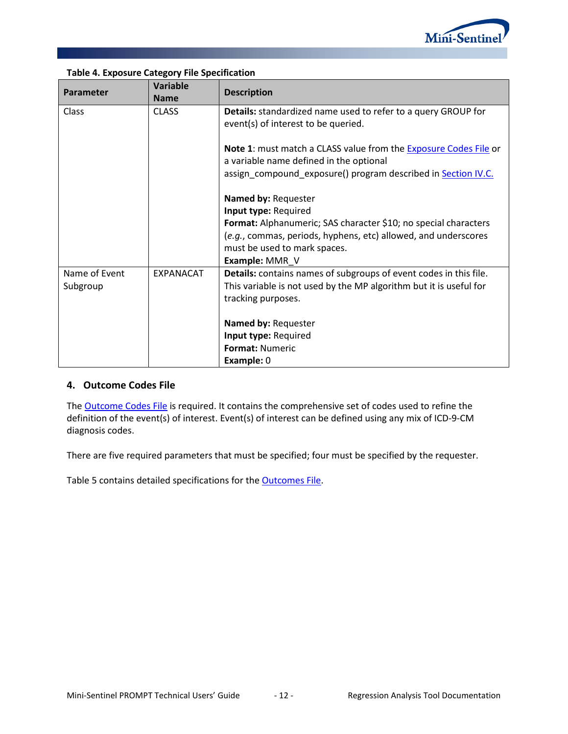

| Parameter             | <b>Variable</b><br><b>Name</b> | <b>Description</b>                                                                                          |
|-----------------------|--------------------------------|-------------------------------------------------------------------------------------------------------------|
| Class<br><b>CLASS</b> |                                | <b>Details:</b> standardized name used to refer to a query GROUP for<br>event(s) of interest to be queried. |
|                       |                                | Note 1: must match a CLASS value from the Exposure Codes File or<br>a variable name defined in the optional |
|                       |                                | assign_compound_exposure() program described in Section IV.C.                                               |
|                       |                                | Named by: Requester                                                                                         |
|                       |                                | Input type: Required                                                                                        |
|                       |                                | Format: Alphanumeric; SAS character \$10; no special characters                                             |
|                       |                                | (e.g., commas, periods, hyphens, etc) allowed, and underscores                                              |
|                       |                                | must be used to mark spaces.                                                                                |
|                       |                                | Example: MMR_V                                                                                              |
| Name of Event         | <b>EXPANACAT</b>               | Details: contains names of subgroups of event codes in this file.                                           |
| Subgroup              |                                | This variable is not used by the MP algorithm but it is useful for                                          |
|                       |                                | tracking purposes.                                                                                          |
|                       |                                | Named by: Requester                                                                                         |
|                       |                                | Input type: Required                                                                                        |
|                       |                                | <b>Format: Numeric</b>                                                                                      |
|                       |                                | Example: 0                                                                                                  |

### **Table 4. Exposure Category File Specification**

#### <span id="page-13-0"></span>**4. Outcome Codes File**

The **Outcome Codes File** is required. It contains the comprehensive set of codes used to refine the definition of the event(s) of interest. Event(s) of interest can be defined using any mix of ICD-9-CM diagnosis codes.

There are five required parameters that must be specified; four must be specified by the requester.

<span id="page-13-1"></span>[Table 5](#page-13-1) contains detailed specifications for the [Outcomes](#page-13-0) File.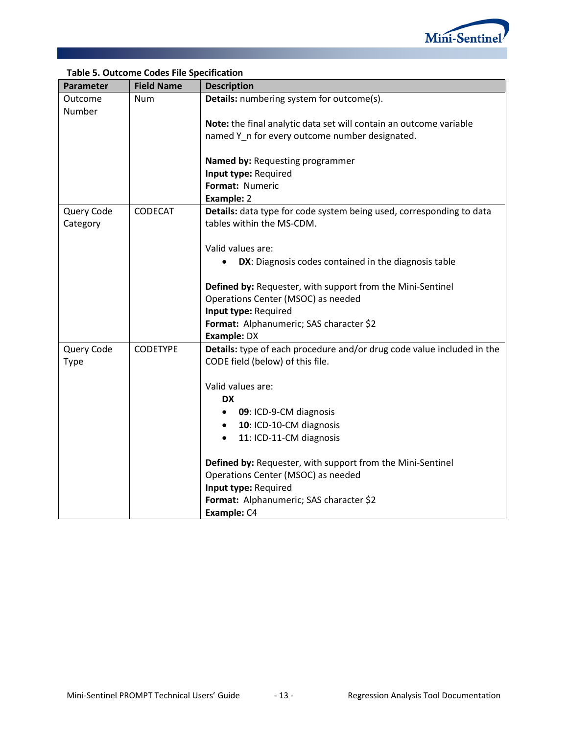

| Parameter              | <b>Field Name</b> | <b>Description</b>                                                                                         |
|------------------------|-------------------|------------------------------------------------------------------------------------------------------------|
| Outcome<br>Number      | <b>Num</b>        | Details: numbering system for outcome(s).                                                                  |
|                        |                   | Note: the final analytic data set will contain an outcome variable                                         |
|                        |                   | named Y n for every outcome number designated.                                                             |
|                        |                   | Named by: Requesting programmer                                                                            |
|                        |                   | Input type: Required<br>Format: Numeric                                                                    |
|                        |                   | Example: 2                                                                                                 |
| Query Code<br>Category | <b>CODECAT</b>    | Details: data type for code system being used, corresponding to data<br>tables within the MS-CDM.          |
|                        |                   | Valid values are:                                                                                          |
|                        |                   | DX: Diagnosis codes contained in the diagnosis table                                                       |
|                        |                   | Defined by: Requester, with support from the Mini-Sentinel                                                 |
|                        |                   | Operations Center (MSOC) as needed                                                                         |
|                        |                   | Input type: Required<br>Format: Alphanumeric; SAS character \$2                                            |
|                        |                   | <b>Example: DX</b>                                                                                         |
| Query Code<br>Type     | <b>CODETYPE</b>   | Details: type of each procedure and/or drug code value included in the<br>CODE field (below) of this file. |
|                        |                   |                                                                                                            |
|                        |                   | Valid values are:                                                                                          |
|                        |                   | <b>DX</b>                                                                                                  |
|                        |                   | 09: ICD-9-CM diagnosis<br>٠                                                                                |
|                        |                   | 10: ICD-10-CM diagnosis<br>٠<br>11: ICD-11-CM diagnosis<br>$\bullet$                                       |
|                        |                   |                                                                                                            |
|                        |                   | Defined by: Requester, with support from the Mini-Sentinel                                                 |
|                        |                   | Operations Center (MSOC) as needed                                                                         |
|                        |                   | Input type: Required                                                                                       |
|                        |                   | Format: Alphanumeric; SAS character \$2<br>Example: C4                                                     |

### **Table 5. Outcome Codes File Specification**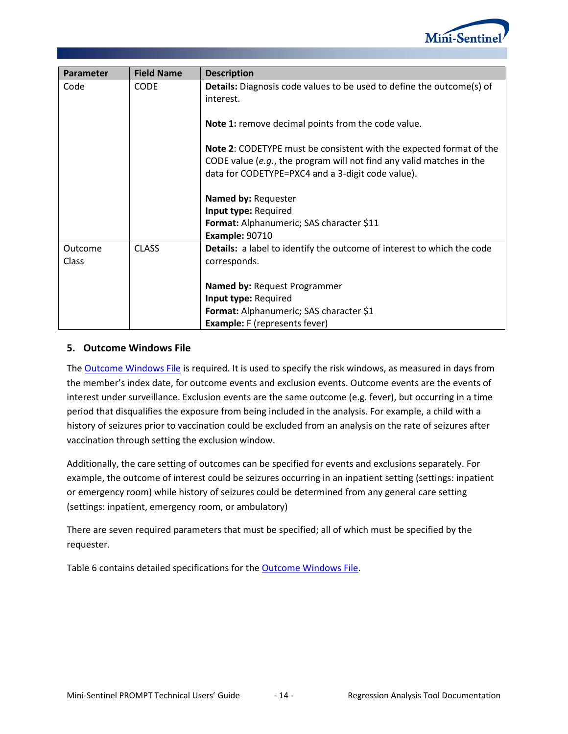

| Parameter | <b>Field Name</b> | <b>Description</b>                                                                                                                                                                               |
|-----------|-------------------|--------------------------------------------------------------------------------------------------------------------------------------------------------------------------------------------------|
| Code      | <b>CODE</b>       | <b>Details:</b> Diagnosis code values to be used to define the outcome(s) of<br>interest.                                                                                                        |
|           |                   | Note 1: remove decimal points from the code value.                                                                                                                                               |
|           |                   | Note 2: CODETYPE must be consistent with the expected format of the<br>CODE value (e.g., the program will not find any valid matches in the<br>data for CODETYPE=PXC4 and a 3-digit code value). |
|           |                   | Named by: Requester                                                                                                                                                                              |
|           |                   | Input type: Required                                                                                                                                                                             |
|           |                   | Format: Alphanumeric; SAS character \$11                                                                                                                                                         |
|           |                   | <b>Example: 90710</b>                                                                                                                                                                            |
| Outcome   | <b>CLASS</b>      | Details: a label to identify the outcome of interest to which the code                                                                                                                           |
| Class     |                   | corresponds.                                                                                                                                                                                     |
|           |                   | <b>Named by: Request Programmer</b>                                                                                                                                                              |
|           |                   | Input type: Required                                                                                                                                                                             |
|           |                   | Format: Alphanumeric; SAS character \$1                                                                                                                                                          |
|           |                   | <b>Example:</b> F (represents fever)                                                                                                                                                             |

#### <span id="page-15-0"></span>**5. Outcome Windows File**

The [Outcome Windows File](#page-15-0) is required. It is used to specify the risk windows, as measured in days from the member's index date, for outcome events and exclusion events. Outcome events are the events of interest under surveillance. Exclusion events are the same outcome (e.g. fever), but occurring in a time period that disqualifies the exposure from being included in the analysis. For example, a child with a history of seizures prior to vaccination could be excluded from an analysis on the rate of seizures after vaccination through setting the exclusion window.

Additionally, the care setting of outcomes can be specified for events and exclusions separately. For example, the outcome of interest could be seizures occurring in an inpatient setting (settings: inpatient or emergency room) while history of seizures could be determined from any general care setting (settings: inpatient, emergency room, or ambulatory)

There are seven required parameters that must be specified; all of which must be specified by the requester.

<span id="page-15-1"></span>[Table 6](#page-15-1) contains detailed specifications for the [Outcome Windows File.](#page-15-0)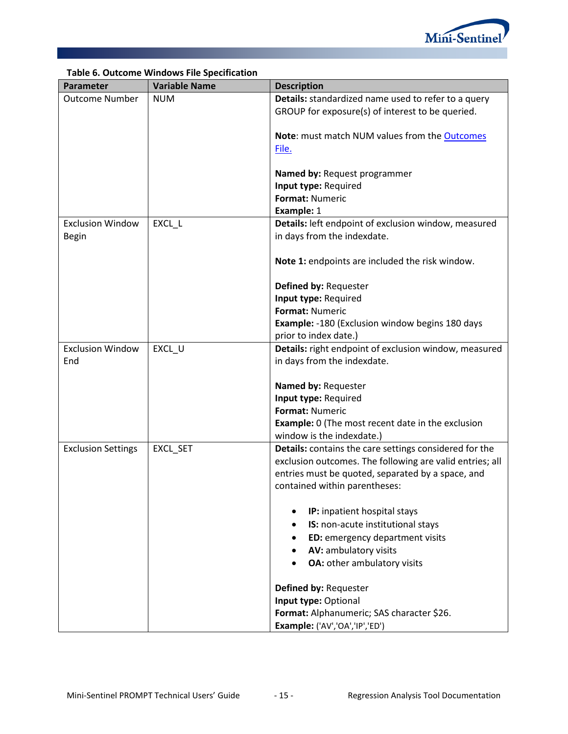

|                           | Table 6. Outcome windows File Specification |                                                          |
|---------------------------|---------------------------------------------|----------------------------------------------------------|
| Parameter                 | <b>Variable Name</b>                        | <b>Description</b>                                       |
| <b>Outcome Number</b>     | <b>NUM</b>                                  | Details: standardized name used to refer to a query      |
|                           |                                             | GROUP for exposure(s) of interest to be queried.         |
|                           |                                             |                                                          |
|                           |                                             | Note: must match NUM values from the Outcomes            |
|                           |                                             | File.                                                    |
|                           |                                             |                                                          |
|                           |                                             | Named by: Request programmer                             |
|                           |                                             | Input type: Required                                     |
|                           |                                             | Format: Numeric                                          |
|                           |                                             | Example: 1                                               |
| <b>Exclusion Window</b>   | EXCL_L                                      | Details: left endpoint of exclusion window, measured     |
| <b>Begin</b>              |                                             | in days from the indexdate.                              |
|                           |                                             |                                                          |
|                           |                                             | Note 1: endpoints are included the risk window.          |
|                           |                                             |                                                          |
|                           |                                             | Defined by: Requester                                    |
|                           |                                             | Input type: Required                                     |
|                           |                                             | Format: Numeric                                          |
|                           |                                             | <b>Example: -180 (Exclusion window begins 180 days</b>   |
|                           |                                             | prior to index date.)                                    |
| <b>Exclusion Window</b>   | EXCL_U                                      | Details: right endpoint of exclusion window, measured    |
| End                       |                                             |                                                          |
|                           |                                             | in days from the indexdate.                              |
|                           |                                             | Named by: Requester                                      |
|                           |                                             | Input type: Required                                     |
|                           |                                             | Format: Numeric                                          |
|                           |                                             |                                                          |
|                           |                                             | <b>Example:</b> 0 (The most recent date in the exclusion |
|                           |                                             | window is the indexdate.)                                |
| <b>Exclusion Settings</b> | EXCL_SET                                    | Details: contains the care settings considered for the   |
|                           |                                             | exclusion outcomes. The following are valid entries; all |
|                           |                                             | entries must be quoted, separated by a space, and        |
|                           |                                             | contained within parentheses:                            |
|                           |                                             |                                                          |
|                           |                                             | IP: inpatient hospital stays                             |
|                           |                                             | IS: non-acute institutional stays<br>٠                   |
|                           |                                             | ED: emergency department visits<br>$\bullet$             |
|                           |                                             | AV: ambulatory visits<br>$\bullet$                       |
|                           |                                             | OA: other ambulatory visits                              |
|                           |                                             |                                                          |
|                           |                                             | Defined by: Requester                                    |
|                           |                                             | Input type: Optional                                     |
|                           |                                             | Format: Alphanumeric; SAS character \$26.                |
|                           |                                             | Example: ('AV','OA','IP','ED')                           |

# **Table 6. Outcome Windows File Specification**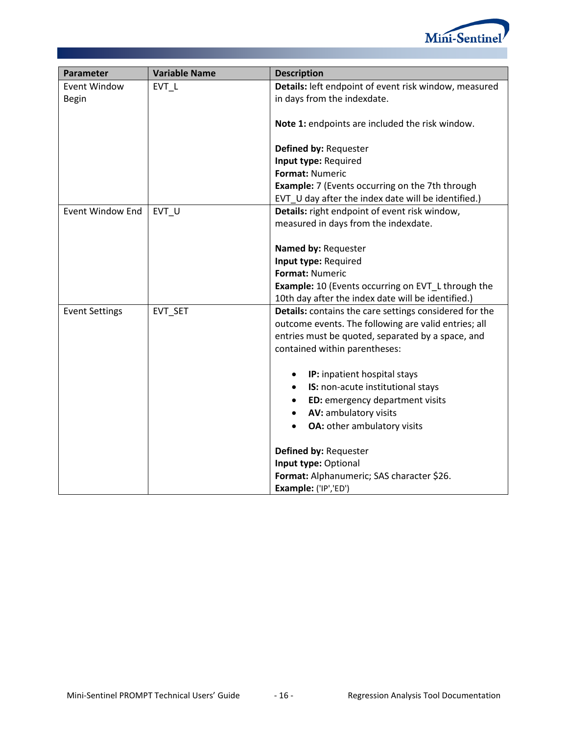

<span id="page-17-0"></span>

| Parameter               | <b>Variable Name</b> | <b>Description</b>                                        |
|-------------------------|----------------------|-----------------------------------------------------------|
| Event Window            | EVT L                | Details: left endpoint of event risk window, measured     |
| Begin                   |                      | in days from the indexdate.                               |
|                         |                      | Note 1: endpoints are included the risk window.           |
|                         |                      | Defined by: Requester                                     |
|                         |                      | Input type: Required                                      |
|                         |                      | Format: Numeric                                           |
|                         |                      | <b>Example:</b> 7 (Events occurring on the 7th through    |
|                         |                      | EVT_U day after the index date will be identified.)       |
| <b>Event Window End</b> | EVT U                | Details: right endpoint of event risk window,             |
|                         |                      | measured in days from the indexdate.                      |
|                         |                      | Named by: Requester                                       |
|                         |                      | Input type: Required                                      |
|                         |                      | Format: Numeric                                           |
|                         |                      | <b>Example:</b> 10 (Events occurring on EVT_L through the |
|                         |                      | 10th day after the index date will be identified.)        |
| <b>Event Settings</b>   | EVT SET              | Details: contains the care settings considered for the    |
|                         |                      | outcome events. The following are valid entries; all      |
|                         |                      | entries must be quoted, separated by a space, and         |
|                         |                      | contained within parentheses:                             |
|                         |                      | IP: inpatient hospital stays                              |
|                         |                      | IS: non-acute institutional stays<br>٠                    |
|                         |                      | ED: emergency department visits<br>٠                      |
|                         |                      | AV: ambulatory visits                                     |
|                         |                      | OA: other ambulatory visits                               |
|                         |                      | Defined by: Requester                                     |
|                         |                      | Input type: Optional                                      |
|                         |                      | Format: Alphanumeric; SAS character \$26.                 |
|                         |                      | Example: ('IP','ED')                                      |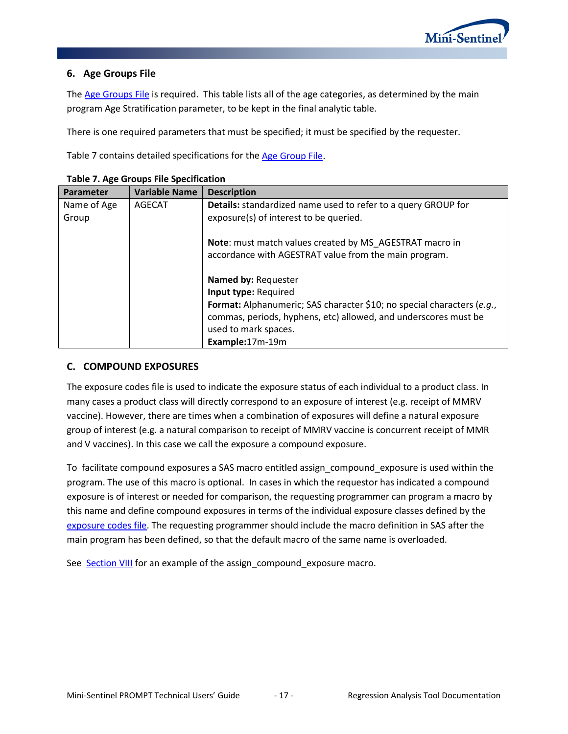<span id="page-18-1"></span>

### **6. Age Groups File**

The [Age Groups File](#page-17-0) is required. This table lists all of the age categories, as determined by the main program Age Stratification parameter, to be kept in the final analytic table.

There is one required parameters that must be specified; it must be specified by the requester.

[Table 7](#page-18-1) contains detailed specifications for the [Age Group](#page-17-0) File.

| <b>Parameter</b> | <b>Variable Name</b> | <b>Description</b>                                                            |
|------------------|----------------------|-------------------------------------------------------------------------------|
| Name of Age      | AGECAT               | <b>Details:</b> standardized name used to refer to a query GROUP for          |
| Group            |                      | exposure(s) of interest to be queried.                                        |
|                  |                      |                                                                               |
|                  |                      | Note: must match values created by MS AGESTRAT macro in                       |
|                  |                      | accordance with AGESTRAT value from the main program.                         |
|                  |                      |                                                                               |
|                  |                      | Named by: Requester                                                           |
|                  |                      | Input type: Required                                                          |
|                  |                      | <b>Format:</b> Alphanumeric; SAS character \$10; no special characters (e.g., |
|                  |                      | commas, periods, hyphens, etc) allowed, and underscores must be               |
|                  |                      | used to mark spaces.                                                          |
|                  |                      | Example:17m-19m                                                               |

### <span id="page-18-0"></span>**C. COMPOUND EXPOSURES**

The exposure codes file is used to indicate the exposure status of each individual to a product class. In many cases a product class will directly correspond to an exposure of interest (e.g. receipt of MMRV vaccine). However, there are times when a combination of exposures will define a natural exposure group of interest (e.g. a natural comparison to receipt of MMRV vaccine is concurrent receipt of MMR and V vaccines). In this case we call the exposure a compound exposure.

To facilitate compound exposures a SAS macro entitled assign\_compound\_exposure is used within the program. The use of this macro is optional. In cases in which the requestor has indicated a compound exposure is of interest or needed for comparison, the requesting programmer can program a macro by this name and define compound exposures in terms of the individual exposure classes defined by the [exposure codes file.](#page-10-0) The requesting programmer should include the macro definition in SAS after the main program has been defined, so that the default macro of the same name is overloaded.

See [Section VIII](#page-21-0) for an example of the assign\_compound\_exposure macro.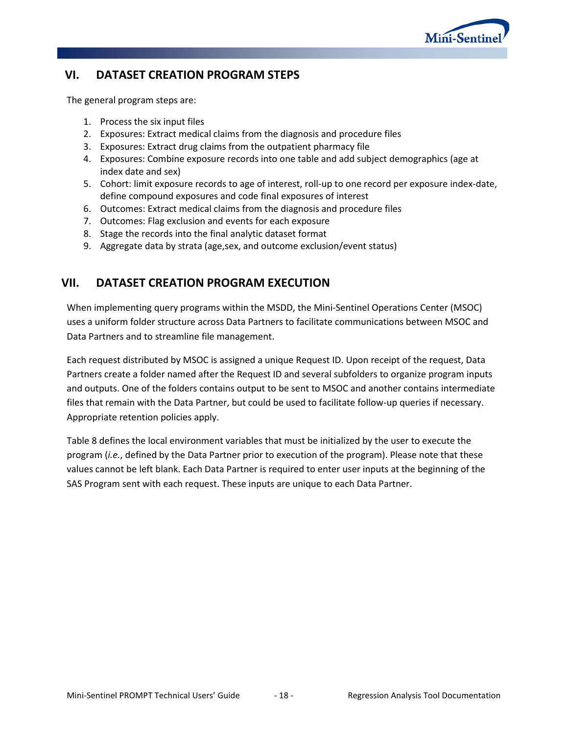

# **VI. DATASET CREATION PROGRAM STEPS**

The general program steps are:

- 1. Process the six input files
- 2. Exposures: Extract medical claims from the diagnosis and procedure files
- 3. Exposures: Extract drug claims from the outpatient pharmacy file
- 4. Exposures: Combine exposure records into one table and add subject demographics (age at index date and sex)
- 5. Cohort: limit exposure records to age of interest, roll-up to one record per exposure index-date, define compound exposures and code final exposures of interest
- 6. Outcomes: Extract medical claims from the diagnosis and procedure files
- 7. Outcomes: Flag exclusion and events for each exposure
- 8. Stage the records into the final analytic dataset format
- <span id="page-19-1"></span>9. Aggregate data by strata (age,sex, and outcome exclusion/event status)

## **VII. DATASET CREATION PROGRAM EXECUTION**

When implementing query programs within the MSDD, the Mini-Sentinel Operations Center (MSOC) uses a uniform folder structure across Data Partners to facilitate communications between MSOC and Data Partners and to streamline file management.

Each request distributed by MSOC is assigned a unique Request ID. Upon receipt of the request, Data Partners create a folder named after the Request ID and several subfolders to organize program inputs and outputs. One of the folders contains output to be sent to MSOC and another contains intermediate files that remain with the Data Partner, but could be used to facilitate follow-up queries if necessary. Appropriate retention policies apply.

<span id="page-19-0"></span>[Table 8](#page-19-0) defines the local environment variables that must be initialized by the user to execute the program (*i.e.*, defined by the Data Partner prior to execution of the program). Please note that these values cannot be left blank. Each Data Partner is required to enter user inputs at the beginning of the SAS Program sent with each request. These inputs are unique to each Data Partner.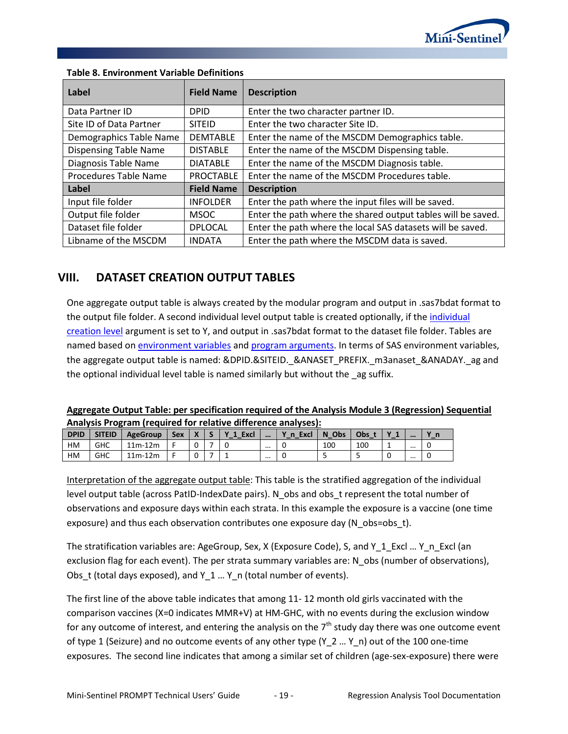

| Label                        | <b>Field Name</b> | <b>Description</b>                                           |  |  |  |
|------------------------------|-------------------|--------------------------------------------------------------|--|--|--|
| Data Partner ID              | <b>DPID</b>       | Enter the two character partner ID.                          |  |  |  |
| Site ID of Data Partner      | <b>SITEID</b>     | Enter the two character Site ID.                             |  |  |  |
| Demographics Table Name      | <b>DEMTABLE</b>   | Enter the name of the MSCDM Demographics table.              |  |  |  |
| <b>Dispensing Table Name</b> | <b>DISTABLE</b>   | Enter the name of the MSCDM Dispensing table.                |  |  |  |
| Diagnosis Table Name         | <b>DIATABLE</b>   | Enter the name of the MSCDM Diagnosis table.                 |  |  |  |
| Procedures Table Name        | <b>PROCTABLE</b>  | Enter the name of the MSCDM Procedures table.                |  |  |  |
| Label                        | <b>Field Name</b> | <b>Description</b>                                           |  |  |  |
| Input file folder            | <b>INFOLDER</b>   | Enter the path where the input files will be saved.          |  |  |  |
| Output file folder           | <b>MSOC</b>       | Enter the path where the shared output tables will be saved. |  |  |  |
| Dataset file folder          | <b>DPLOCAL</b>    | Enter the path where the local SAS datasets will be saved.   |  |  |  |
| Libname of the MSCDM         | <b>INDATA</b>     | Enter the path where the MSCDM data is saved.                |  |  |  |

#### **Table 8. Environment Variable Definitions**

## <span id="page-20-0"></span>**VIII. DATASET CREATION OUTPUT TABLES**

One aggregate output table is always created by the modular program and output in .sas7bdat format to the output file folder. A second individual level output table is created optionally, if the [individual](#page-5-1)  [creation level](#page-5-1) argument is set to Y, and output in .sas7bdat format to the dataset file folder. Tables are named based o[n environment variables](#page-19-1) and [program arguments.](#page-5-1) In terms of SAS environment variables, the aggregate output table is named: &DPID.&SITEID.\_&ANASET\_PREFIX.\_m3anaset\_&ANADAY.\_ag and the optional individual level table is named similarly but without the \_ag suffix.

#### **Aggregate Output Table: per specification required of the Analysis Module 3 (Regression) Sequential Analysis Program (required for relative difference analyses):**

| <b>DPID</b> | <b>SITEID</b> | <b>AgeGroup</b> | Sex | $\overline{\mathbf{v}}$<br>- | Excl | $$       | <b>Excl</b><br>_ _ | Obs<br>N<br>$\overline{\phantom{0}}$ | Obs |   | $$       |   |
|-------------|---------------|-----------------|-----|------------------------------|------|----------|--------------------|--------------------------------------|-----|---|----------|---|
| HM          | <b>GHC</b>    | $11m-12m$       |     |                              |      | $\cdots$ |                    | 100                                  | 100 | - | $\cdots$ | ັ |
| HM          | <b>GHC</b>    | $11m-12m$       |     |                              |      | $\cdots$ |                    |                                      |     |   |          | u |

Interpretation of the aggregate output table: This table is the stratified aggregation of the individual level output table (across PatID-IndexDate pairs). N\_obs and obs\_t represent the total number of observations and exposure days within each strata. In this example the exposure is a vaccine (one time exposure) and thus each observation contributes one exposure day (N\_obs=obs\_t).

The stratification variables are: AgeGroup, Sex, X (Exposure Code), S, and Y\_1\_Excl ... Y\_n\_Excl (an exclusion flag for each event). The per strata summary variables are: N\_obs (number of observations), Obs t (total days exposed), and Y  $1 ... Y$  n (total number of events).

The first line of the above table indicates that among 11- 12 month old girls vaccinated with the comparison vaccines (X=0 indicates MMR+V) at HM-GHC, with no events during the exclusion window for any outcome of interest, and entering the analysis on the  $7<sup>th</sup>$  study day there was one outcome event of type 1 (Seizure) and no outcome events of any other type (Y\_2 … Y\_n) out of the 100 one-time exposures. The second line indicates that among a similar set of children (age-sex-exposure) there were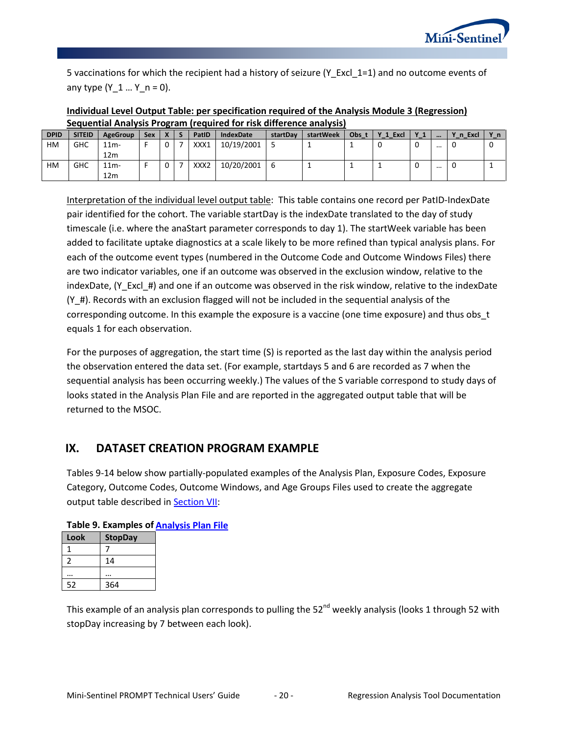

5 vaccinations for which the recipient had a history of seizure (Y\_Excl\_1=1) and no outcome events of any type  $(Y_1... Y_n = 0)$ .

| Individual Level Output Table: per specification required of the Analysis Module 3 (Regression) |  |
|-------------------------------------------------------------------------------------------------|--|
| Sequential Analysis Program (required for risk difference analysis)                             |  |

| <b>DPID</b> | <b>SITEID</b> | AgeGroup        | <b>Sex</b> |          | PatID            | <b>IndexDate</b> | startDav | startWeek | Obs t | Y_1_Excl | <b>Y</b> 1<br>was a | $$       | Y_n_Excl | Yni |
|-------------|---------------|-----------------|------------|----------|------------------|------------------|----------|-----------|-------|----------|---------------------|----------|----------|-----|
| HM          | <b>GHC</b>    | 11 <sub>m</sub> |            | $\Omega$ | XXX1             | 10/19/2001       |          |           |       | 0        | 0                   | $\cdots$ |          |     |
|             |               | 12 <sub>m</sub> |            |          |                  |                  |          |           |       |          |                     |          |          |     |
| HM          | <b>GHC</b>    | 11 <sub>m</sub> |            | $\Omega$ | XXX <sub>2</sub> | 10/20/2001       |          |           |       |          | υ                   | $\cdots$ |          |     |
|             |               | 12 <sub>m</sub> |            |          |                  |                  |          |           |       |          |                     |          |          |     |

Interpretation of the individual level output table: This table contains one record per PatID-IndexDate pair identified for the cohort. The variable startDay is the indexDate translated to the day of study timescale (i.e. where the anaStart parameter corresponds to day 1). The startWeek variable has been added to facilitate uptake diagnostics at a scale likely to be more refined than typical analysis plans. For each of the outcome event types (numbered in the Outcome Code and Outcome Windows Files) there are two indicator variables, one if an outcome was observed in the exclusion window, relative to the indexDate, (Y\_Excl\_#) and one if an outcome was observed in the risk window, relative to the indexDate (Y\_#). Records with an exclusion flagged will not be included in the sequential analysis of the corresponding outcome. In this example the exposure is a vaccine (one time exposure) and thus obs\_t equals 1 for each observation.

For the purposes of aggregation, the start time (S) is reported as the last day within the analysis period the observation entered the data set. (For example, startdays 5 and 6 are recorded as 7 when the sequential analysis has been occurring weekly.) The values of the S variable correspond to study days of looks stated in the Analysis Plan File and are reported in the aggregated output table that will be returned to the MSOC.

### <span id="page-21-0"></span>**IX. DATASET CREATION PROGRAM EXAMPLE**

Tables 9-14 below show partially-populated examples of the Analysis Plan, Exposure Codes, Exposure Category, Outcome Codes, Outcome Windows, and Age Groups Files used to create the aggregate output table described in [Section VII:](#page-20-0)

| רו יש טייש |                |  |  |  |  |  |  |
|------------|----------------|--|--|--|--|--|--|
| Look       | <b>StopDay</b> |  |  |  |  |  |  |
|            |                |  |  |  |  |  |  |
| 2          | 14             |  |  |  |  |  |  |
|            |                |  |  |  |  |  |  |
| 52         | 364            |  |  |  |  |  |  |

### **Table 9. Examples of [Analysis Plan](#page-9-0) File**

This example of an analysis plan corresponds to pulling the 52<sup>nd</sup> weekly analysis (looks 1 through 52 with stopDay increasing by 7 between each look).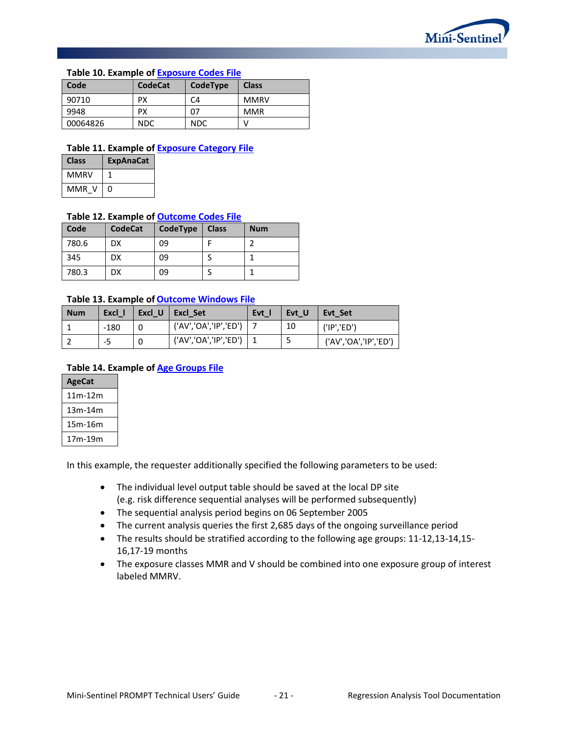

#### **Table 10. Example of [Exposure Codes File](#page-10-0)**

| Code     | <b>CodeCat</b> | CodeType   | <b>Class</b> |
|----------|----------------|------------|--------------|
| 90710    | PХ             | C4         | <b>MMRV</b>  |
| 9948     | PХ             | 07         | <b>MMR</b>   |
| 00064826 | NDC.           | <b>NDC</b> |              |

#### **Table 11. Example of [Exposure Category](#page-12-0) File**

| Class | <b>ExpAnaCat</b> |
|-------|------------------|
| MMRV  |                  |
| MMR V | n                |

#### **Table 12. Example of [Outcome Codes](#page-13-0) File**

| Code  | <b>CodeCat</b> | CodeType | <b>Class</b> | <b>Num</b> |
|-------|----------------|----------|--------------|------------|
| 780.6 | DX             | 09       |              |            |
| 345   | DX             | 09       |              |            |
| 780.3 | DX             | 09       |              |            |

#### **Table 13. Example of [Outcome Windows](#page-15-0) File**

| <b>Num</b> | Excl I | Excl U | Excl Set              | <b>Evt</b> | Evt U | Evt Set               |
|------------|--------|--------|-----------------------|------------|-------|-----------------------|
|            | $-180$ |        | ('AV','OA','IP','ED') |            | 10    | ('IP', 'ED')          |
|            | -5     |        | ('AV','OA','IP','ED') |            | ت     | ('AV','OA','IP','ED') |

#### **Table 14. Example of [Age Groups File](#page-17-0)**

| <b>AgeCat</b> |
|---------------|
| 11m-12m       |
| 13m-14m       |
| 15m-16m       |
| 17m-19m       |

In this example, the requester additionally specified the following parameters to be used:

- The individual level output table should be saved at the local DP site (e.g. risk difference sequential analyses will be performed subsequently)
- The sequential analysis period begins on 06 September 2005
- The current analysis queries the first 2,685 days of the ongoing surveillance period
- The results should be stratified according to the following age groups: 11-12,13-14,15- 16,17-19 months
- The exposure classes MMR and V should be combined into one exposure group of interest labeled MMRV.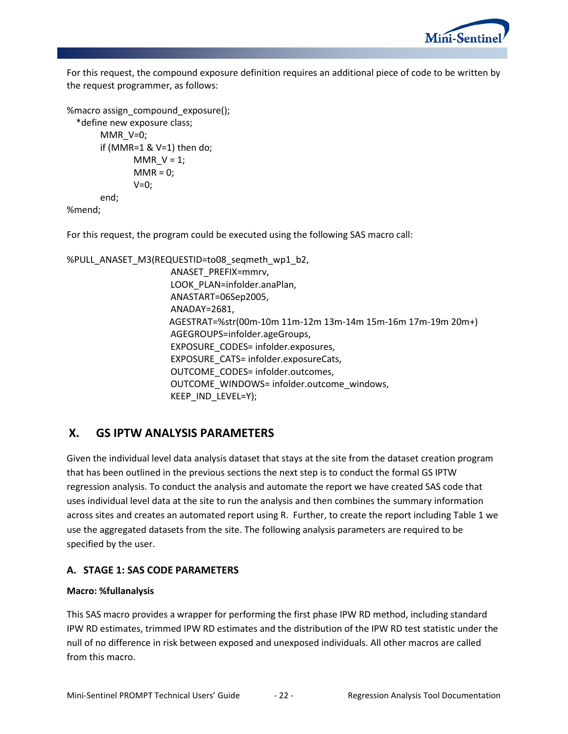

For this request, the compound exposure definition requires an additional piece of code to be written by the request programmer, as follows:

```
%macro assign_compound_exposure();
   *define new exposure class;
       MMR_V=0;
       if (MMR=1 & V=1) then do;
              MMR_V = 1;MMR = 0;V=0:
       end;
%mend;
```
For this request, the program could be executed using the following SAS macro call:

```
%PULL_ANASET_M3(REQUESTID=to08_seqmeth_wp1_b2, 
                       ANASET_PREFIX=mmrv, 
                      LOOK_PLAN=infolder.anaPlan, 
                       ANASTART=06Sep2005, 
                      ANADAY=2681, 
                      AGESTRAT=%str(00m-10m 11m-12m 13m-14m 15m-16m 17m-19m 20m+)
                       AGEGROUPS=infolder.ageGroups, 
                       EXPOSURE_CODES= infolder.exposures, 
                       EXPOSURE_CATS= infolder.exposureCats, 
                       OUTCOME_CODES= infolder.outcomes, 
                       OUTCOME_WINDOWS= infolder.outcome_windows, 
                       KEEP_IND_LEVEL=Y);
```
# **X. GS IPTW ANALYSIS PARAMETERS**

Given the individual level data analysis dataset that stays at the site from the dataset creation program that has been outlined in the previous sections the next step is to conduct the formal GS IPTW regression analysis. To conduct the analysis and automate the report we have created SAS code that uses individual level data at the site to run the analysis and then combines the summary information across sites and creates an automated report using R. Further, to create the report including Table 1 we use the aggregated datasets from the site. The following analysis parameters are required to be specified by the user.

### **A. STAGE 1: SAS CODE PARAMETERS**

#### **Macro: %fullanalysis**

This SAS macro provides a wrapper for performing the first phase IPW RD method, including standard IPW RD estimates, trimmed IPW RD estimates and the distribution of the IPW RD test statistic under the null of no difference in risk between exposed and unexposed individuals. All other macros are called from this macro.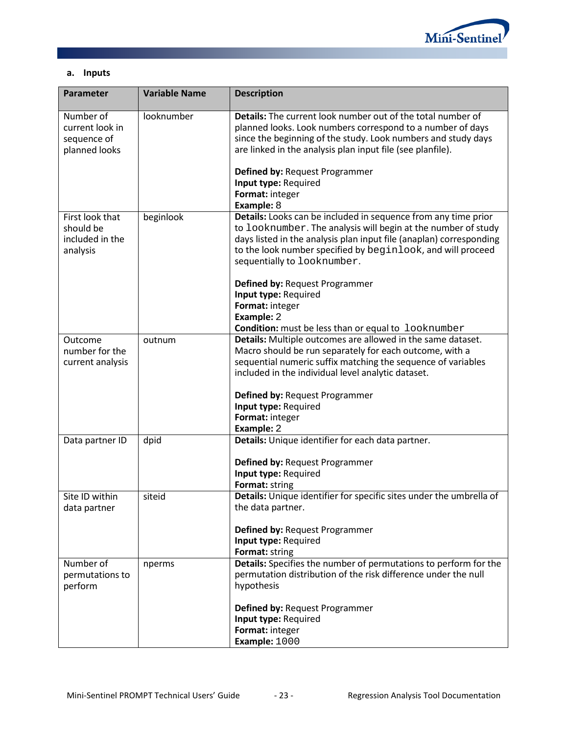

### **a. Inputs**

| <b>Parameter</b>                                             | <b>Variable Name</b> | <b>Description</b>                                                                                                                                                                                                                                                                                   |
|--------------------------------------------------------------|----------------------|------------------------------------------------------------------------------------------------------------------------------------------------------------------------------------------------------------------------------------------------------------------------------------------------------|
| Number of<br>current look in<br>sequence of<br>planned looks | looknumber           | Details: The current look number out of the total number of<br>planned looks. Look numbers correspond to a number of days<br>since the beginning of the study. Look numbers and study days<br>are linked in the analysis plan input file (see planfile).                                             |
|                                                              |                      | Defined by: Request Programmer                                                                                                                                                                                                                                                                       |
|                                                              |                      | Input type: Required                                                                                                                                                                                                                                                                                 |
|                                                              |                      | Format: integer<br>Example: 8                                                                                                                                                                                                                                                                        |
| First look that<br>should be<br>included in the<br>analysis  | beginlook            | Details: Looks can be included in sequence from any time prior<br>to looknumber. The analysis will begin at the number of study<br>days listed in the analysis plan input file (anaplan) corresponding<br>to the look number specified by beginlook, and will proceed<br>sequentially to looknumber. |
|                                                              |                      | Defined by: Request Programmer                                                                                                                                                                                                                                                                       |
|                                                              |                      | Input type: Required                                                                                                                                                                                                                                                                                 |
|                                                              |                      | Format: integer                                                                                                                                                                                                                                                                                      |
|                                                              |                      | Example: 2<br>Condition: must be less than or equal to looknumber                                                                                                                                                                                                                                    |
| Outcome                                                      | outnum               | Details: Multiple outcomes are allowed in the same dataset.                                                                                                                                                                                                                                          |
| number for the                                               |                      | Macro should be run separately for each outcome, with a                                                                                                                                                                                                                                              |
| current analysis                                             |                      | sequential numeric suffix matching the sequence of variables                                                                                                                                                                                                                                         |
|                                                              |                      | included in the individual level analytic dataset.                                                                                                                                                                                                                                                   |
|                                                              |                      | Defined by: Request Programmer                                                                                                                                                                                                                                                                       |
|                                                              |                      | Input type: Required                                                                                                                                                                                                                                                                                 |
|                                                              |                      | Format: integer                                                                                                                                                                                                                                                                                      |
|                                                              |                      | Example: 2                                                                                                                                                                                                                                                                                           |
| Data partner ID                                              | dpid                 | Details: Unique identifier for each data partner.                                                                                                                                                                                                                                                    |
|                                                              |                      | Defined by: Request Programmer                                                                                                                                                                                                                                                                       |
|                                                              |                      | Input type: Required                                                                                                                                                                                                                                                                                 |
|                                                              |                      | Format: string                                                                                                                                                                                                                                                                                       |
| Site ID within<br>data partner                               | siteid               | Details: Unique identifier for specific sites under the umbrella of<br>the data partner.                                                                                                                                                                                                             |
|                                                              |                      | Defined by: Request Programmer                                                                                                                                                                                                                                                                       |
|                                                              |                      | Input type: Required                                                                                                                                                                                                                                                                                 |
|                                                              |                      | Format: string                                                                                                                                                                                                                                                                                       |
| Number of                                                    | nperms               | Details: Specifies the number of permutations to perform for the<br>permutation distribution of the risk difference under the null                                                                                                                                                                   |
| permutations to<br>perform                                   |                      | hypothesis                                                                                                                                                                                                                                                                                           |
|                                                              |                      |                                                                                                                                                                                                                                                                                                      |
|                                                              |                      | Defined by: Request Programmer                                                                                                                                                                                                                                                                       |
|                                                              |                      | Input type: Required                                                                                                                                                                                                                                                                                 |
|                                                              |                      | Format: integer                                                                                                                                                                                                                                                                                      |
|                                                              |                      | Example: 1000                                                                                                                                                                                                                                                                                        |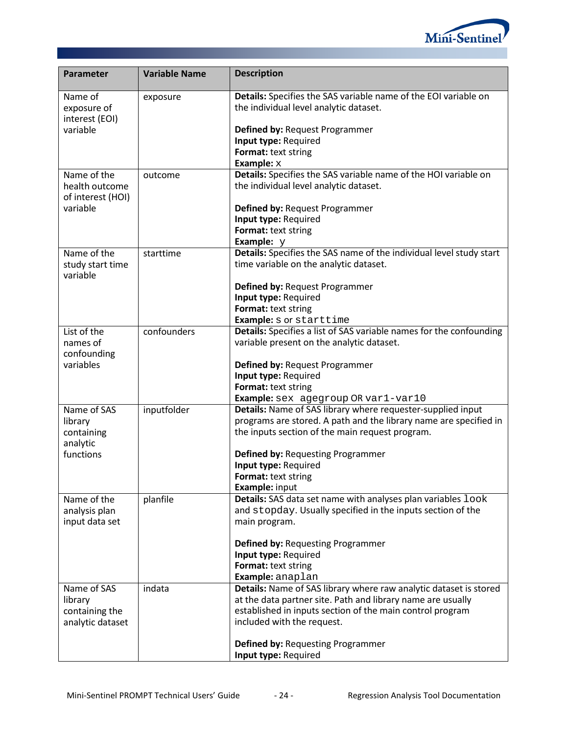

| Parameter                                | <b>Variable Name</b> | <b>Description</b>                                                                                                                                                                  |
|------------------------------------------|----------------------|-------------------------------------------------------------------------------------------------------------------------------------------------------------------------------------|
| Name of<br>exposure of<br>interest (EOI) | exposure             | Details: Specifies the SAS variable name of the EOI variable on<br>the individual level analytic dataset.                                                                           |
| variable                                 |                      | Defined by: Request Programmer                                                                                                                                                      |
|                                          |                      | Input type: Required                                                                                                                                                                |
|                                          |                      | Format: text string                                                                                                                                                                 |
| Name of the                              | outcome              | Example: $x$<br>Details: Specifies the SAS variable name of the HOI variable on                                                                                                     |
| health outcome<br>of interest (HOI)      |                      | the individual level analytic dataset.                                                                                                                                              |
| variable                                 |                      | Defined by: Request Programmer                                                                                                                                                      |
|                                          |                      | Input type: Required                                                                                                                                                                |
|                                          |                      | Format: text string                                                                                                                                                                 |
| Name of the                              | starttime            | Example: $y$<br>Details: Specifies the SAS name of the individual level study start                                                                                                 |
| study start time<br>variable             |                      | time variable on the analytic dataset.                                                                                                                                              |
|                                          |                      | Defined by: Request Programmer                                                                                                                                                      |
|                                          |                      | Input type: Required                                                                                                                                                                |
|                                          |                      | Format: text string                                                                                                                                                                 |
|                                          |                      | Example: s or starttime                                                                                                                                                             |
| List of the<br>names of<br>confounding   | confounders          | Details: Specifies a list of SAS variable names for the confounding<br>variable present on the analytic dataset.                                                                    |
| variables                                |                      | Defined by: Request Programmer                                                                                                                                                      |
|                                          |                      | Input type: Required                                                                                                                                                                |
|                                          |                      | Format: text string                                                                                                                                                                 |
|                                          |                      | Example: sex agegroup OR var1-var10                                                                                                                                                 |
| Name of SAS<br>library<br>containing     | inputfolder          | Details: Name of SAS library where requester-supplied input<br>programs are stored. A path and the library name are specified in<br>the inputs section of the main request program. |
| analytic<br>functions                    |                      |                                                                                                                                                                                     |
|                                          |                      | Defined by: Requesting Programmer<br>Input type: Required                                                                                                                           |
|                                          |                      | Format: text string                                                                                                                                                                 |
|                                          |                      | Example: input                                                                                                                                                                      |
| Name of the                              | planfile             | Details: SAS data set name with analyses plan variables look                                                                                                                        |
| analysis plan                            |                      | and stopday. Usually specified in the inputs section of the                                                                                                                         |
| input data set                           |                      | main program.                                                                                                                                                                       |
|                                          |                      | <b>Defined by: Requesting Programmer</b>                                                                                                                                            |
|                                          |                      | Input type: Required<br>Format: text string                                                                                                                                         |
|                                          |                      | Example: anaplan                                                                                                                                                                    |
| Name of SAS                              | indata               | Details: Name of SAS library where raw analytic dataset is stored                                                                                                                   |
| library                                  |                      | at the data partner site. Path and library name are usually                                                                                                                         |
| containing the                           |                      | established in inputs section of the main control program                                                                                                                           |
| analytic dataset                         |                      | included with the request.                                                                                                                                                          |
|                                          |                      | <b>Defined by: Requesting Programmer</b>                                                                                                                                            |
|                                          |                      | Input type: Required                                                                                                                                                                |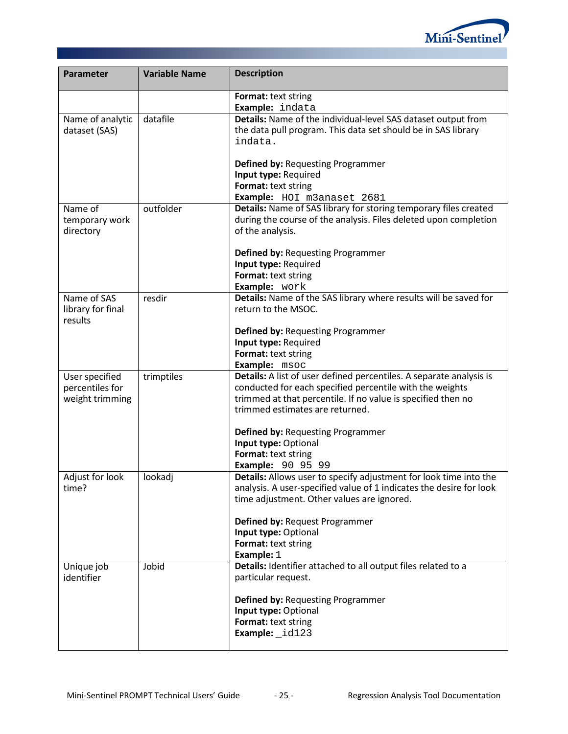

| Parameter                                            | <b>Variable Name</b> | <b>Description</b>                                                                                                                                                                                                                                                                                                                                 |
|------------------------------------------------------|----------------------|----------------------------------------------------------------------------------------------------------------------------------------------------------------------------------------------------------------------------------------------------------------------------------------------------------------------------------------------------|
|                                                      |                      | Format: text string<br>Example: indata                                                                                                                                                                                                                                                                                                             |
| Name of analytic<br>dataset (SAS)                    | datafile             | Details: Name of the individual-level SAS dataset output from<br>the data pull program. This data set should be in SAS library<br>indata.<br><b>Defined by: Requesting Programmer</b><br>Input type: Required<br>Format: text string<br>Example: HOI m3anaset 2681                                                                                 |
| Name of<br>temporary work<br>directory               | outfolder            | Details: Name of SAS library for storing temporary files created<br>during the course of the analysis. Files deleted upon completion<br>of the analysis.<br><b>Defined by: Requesting Programmer</b><br>Input type: Required<br>Format: text string<br>Example: work                                                                               |
| Name of SAS<br>library for final<br>results          | resdir               | Details: Name of the SAS library where results will be saved for<br>return to the MSOC.<br>Defined by: Requesting Programmer<br>Input type: Required<br>Format: text string<br>Example: msoc                                                                                                                                                       |
| User specified<br>percentiles for<br>weight trimming | trimptiles           | Details: A list of user defined percentiles. A separate analysis is<br>conducted for each specified percentile with the weights<br>trimmed at that percentile. If no value is specified then no<br>trimmed estimates are returned.<br>Defined by: Requesting Programmer<br>Input type: Optional<br>Format: text string<br><b>Example: 90 95 99</b> |
| Adjust for look<br>time?                             | lookadj              | Details: Allows user to specify adjustment for look time into the<br>analysis. A user-specified value of 1 indicates the desire for look<br>time adjustment. Other values are ignored.<br>Defined by: Request Programmer<br>Input type: Optional<br>Format: text string<br>Example: 1                                                              |
| Unique job<br>identifier                             | Jobid                | Details: Identifier attached to all output files related to a<br>particular request.<br>Defined by: Requesting Programmer<br>Input type: Optional<br>Format: text string<br>Example: id123                                                                                                                                                         |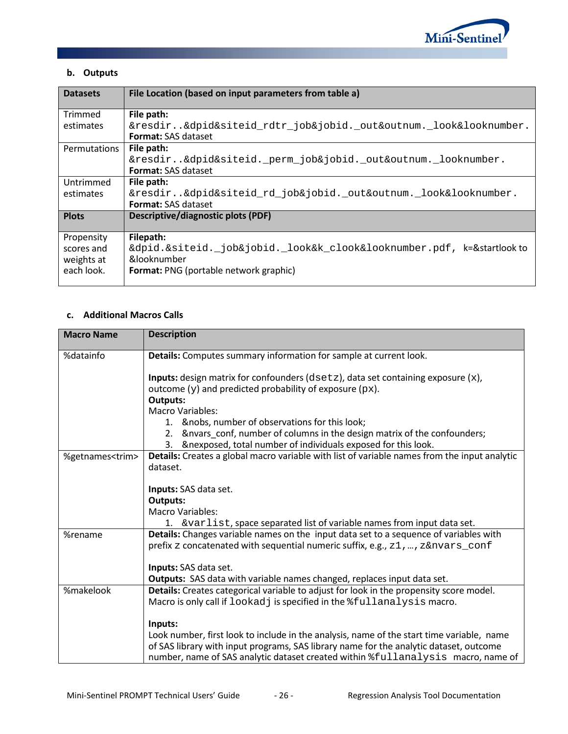

## **b. Outputs**

| <b>Datasets</b> | File Location (based on input parameters from table a)                |
|-----------------|-----------------------------------------------------------------------|
| Trimmed         | File path:                                                            |
| estimates       | &resdir&dpid&siteid_rdtr_job&jobid._out&outnum._look&looknumber.      |
|                 | <b>Format:</b> SAS dataset                                            |
| Permutations    | File path:                                                            |
|                 | &resdir&dpid&siteid._perm_job&jobid._out&outnum._looknumber.          |
|                 | <b>Format:</b> SAS dataset                                            |
| Untrimmed       | File path:                                                            |
| estimates       | &resdir&dpid&siteid_rd_job&jobid._out&outnum._look&looknumber.        |
|                 | <b>Format:</b> SAS dataset                                            |
| <b>Plots</b>    | Descriptive/diagnostic plots (PDF)                                    |
| Propensity      | Filepath:                                                             |
| scores and      | &dpid.&siteid._job&jobid._look&k_clook&looknumber.pdf, k=&startlookto |
| weights at      | &looknumber                                                           |
| each look.      | <b>Format: PNG (portable network graphic)</b>                         |
|                 |                                                                       |

#### **c. Additional Macros Calls**

| <b>Macro Name</b>       | <b>Description</b>                                                                                                                                              |  |  |
|-------------------------|-----------------------------------------------------------------------------------------------------------------------------------------------------------------|--|--|
| %datainfo               | Details: Computes summary information for sample at current look.                                                                                               |  |  |
|                         |                                                                                                                                                                 |  |  |
|                         | <b>Inputs:</b> design matrix for confounders ( $dsetz$ ), data set containing exposure $(x)$ ,<br>outcome $(y)$ and predicted probability of exposure ( $px$ ). |  |  |
|                         | Outputs:                                                                                                                                                        |  |  |
|                         | <b>Macro Variables:</b>                                                                                                                                         |  |  |
|                         | 1. & nobs, number of observations for this look;                                                                                                                |  |  |
|                         | 2. & nvars_conf, number of columns in the design matrix of the confounders;                                                                                     |  |  |
|                         | &nexposed, total number of individuals exposed for this look.<br>3.                                                                                             |  |  |
| %getnames <trim></trim> | Details: Creates a global macro variable with list of variable names from the input analytic                                                                    |  |  |
|                         | dataset.                                                                                                                                                        |  |  |
|                         | Inputs: SAS data set.                                                                                                                                           |  |  |
|                         | <b>Outputs:</b>                                                                                                                                                 |  |  |
|                         | <b>Macro Variables:</b>                                                                                                                                         |  |  |
|                         | 1. & varlist, space separated list of variable names from input data set.                                                                                       |  |  |
| %rename                 | Details: Changes variable names on the input data set to a sequence of variables with                                                                           |  |  |
|                         | prefix z concatenated with sequential numeric suffix, e.g., z1, , z&nvars_conf                                                                                  |  |  |
|                         | Inputs: SAS data set.                                                                                                                                           |  |  |
|                         | Outputs: SAS data with variable names changed, replaces input data set.                                                                                         |  |  |
| %makelook               | Details: Creates categorical variable to adjust for look in the propensity score model.                                                                         |  |  |
|                         | Macro is only call if lookadj is specified in the <i>fullanalysis</i> macro.                                                                                    |  |  |
|                         |                                                                                                                                                                 |  |  |
|                         | Inputs:                                                                                                                                                         |  |  |
|                         | Look number, first look to include in the analysis, name of the start time variable, name                                                                       |  |  |
|                         | of SAS library with input programs, SAS library name for the analytic dataset, outcome                                                                          |  |  |
|                         | number, name of SAS analytic dataset created within $%$ fullanalysis macro, name of                                                                             |  |  |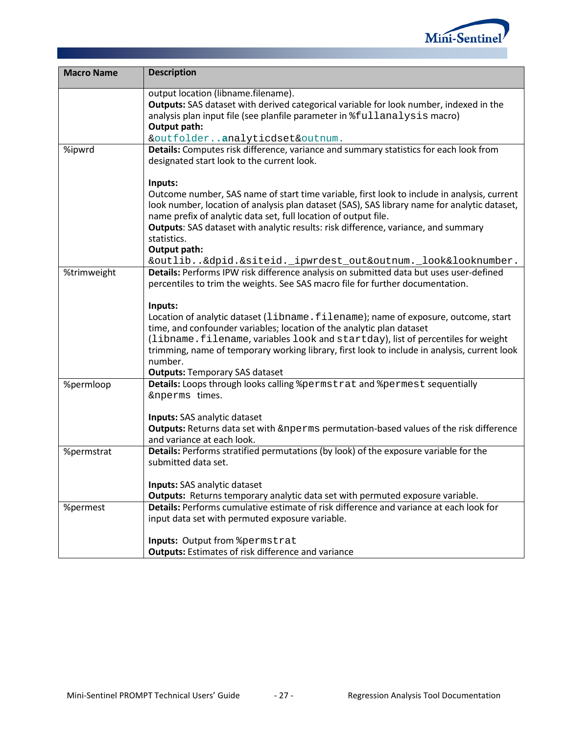

| <b>Macro Name</b> | <b>Description</b>                                                                                                                                                                          |
|-------------------|---------------------------------------------------------------------------------------------------------------------------------------------------------------------------------------------|
|                   | output location (libname.filename).                                                                                                                                                         |
|                   | Outputs: SAS dataset with derived categorical variable for look number, indexed in the                                                                                                      |
|                   | analysis plan input file (see planfile parameter in $\text{\texttt{\$full}}$ analysis macro)                                                                                                |
|                   | Output path:                                                                                                                                                                                |
|                   | &outfolderanalyticdset&outnum.                                                                                                                                                              |
| %ipwrd            | Details: Computes risk difference, variance and summary statistics for each look from<br>designated start look to the current look.                                                         |
|                   | Inputs:                                                                                                                                                                                     |
|                   | Outcome number, SAS name of start time variable, first look to include in analysis, current<br>look number, location of analysis plan dataset (SAS), SAS library name for analytic dataset, |
|                   | name prefix of analytic data set, full location of output file.                                                                                                                             |
|                   | Outputs: SAS dataset with analytic results: risk difference, variance, and summary                                                                                                          |
|                   | statistics.                                                                                                                                                                                 |
|                   | Output path:                                                                                                                                                                                |
|                   | &outlib&dpid.&siteid._ipwrdest_out&outnum._look&looknumber.                                                                                                                                 |
| %trimweight       | Details: Performs IPW risk difference analysis on submitted data but uses user-defined<br>percentiles to trim the weights. See SAS macro file for further documentation.                    |
|                   | Inputs:                                                                                                                                                                                     |
|                   | Location of analytic dataset (libname.filename); name of exposure, outcome, start                                                                                                           |
|                   | time, and confounder variables; location of the analytic plan dataset                                                                                                                       |
|                   | (libname.filename, variables look and startday), list of percentiles for weight                                                                                                             |
|                   | trimming, name of temporary working library, first look to include in analysis, current look                                                                                                |
|                   | number.                                                                                                                                                                                     |
| %permloop         | <b>Outputs: Temporary SAS dataset</b><br>Details: Loops through looks calling & permstrat and & permest sequentially                                                                        |
|                   | &nperms times.                                                                                                                                                                              |
|                   |                                                                                                                                                                                             |
|                   | Inputs: SAS analytic dataset                                                                                                                                                                |
|                   | Outputs: Returns data set with &nperms permutation-based values of the risk difference                                                                                                      |
|                   | and variance at each look.                                                                                                                                                                  |
| %permstrat        | Details: Performs stratified permutations (by look) of the exposure variable for the                                                                                                        |
|                   | submitted data set.                                                                                                                                                                         |
|                   | Inputs: SAS analytic dataset                                                                                                                                                                |
|                   | Outputs: Returns temporary analytic data set with permuted exposure variable.                                                                                                               |
| %permest          | Details: Performs cumulative estimate of risk difference and variance at each look for                                                                                                      |
|                   | input data set with permuted exposure variable.                                                                                                                                             |
|                   |                                                                                                                                                                                             |
|                   | Inputs: Output from & permstrat                                                                                                                                                             |
|                   | <b>Outputs:</b> Estimates of risk difference and variance                                                                                                                                   |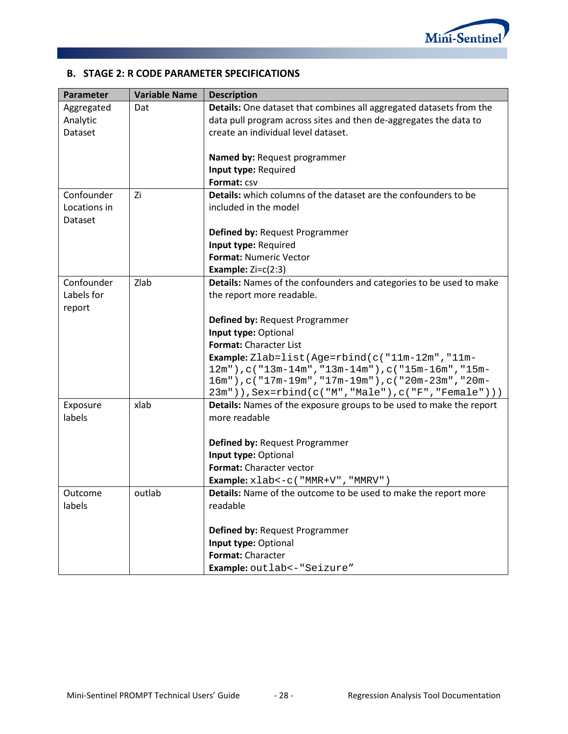

## **B. STAGE 2: R CODE PARAMETER SPECIFICATIONS**

| Parameter    | <b>Variable Name</b> | <b>Description</b>                                                         |
|--------------|----------------------|----------------------------------------------------------------------------|
| Aggregated   | Dat                  | Details: One dataset that combines all aggregated datasets from the        |
| Analytic     |                      | data pull program across sites and then de-aggregates the data to          |
| Dataset      |                      | create an individual level dataset.                                        |
|              |                      |                                                                            |
|              |                      | Named by: Request programmer                                               |
|              |                      | Input type: Required                                                       |
|              |                      | Format: CSV                                                                |
| Confounder   | Zi                   | <b>Details:</b> which columns of the dataset are the confounders to be     |
| Locations in |                      | included in the model                                                      |
| Dataset      |                      |                                                                            |
|              |                      | Defined by: Request Programmer                                             |
|              |                      | Input type: Required                                                       |
|              |                      | Format: Numeric Vector                                                     |
|              |                      | Example: $Zi=C(2:3)$                                                       |
| Confounder   | Zlab                 | Details: Names of the confounders and categories to be used to make        |
| Labels for   |                      | the report more readable.                                                  |
| report       |                      |                                                                            |
|              |                      | Defined by: Request Programmer                                             |
|              |                      | Input type: Optional                                                       |
|              |                      | Format: Character List                                                     |
|              |                      | <b>Example:</b> $Zlab = list(Age = rbind(c("11m-12m", "11m-12m))$          |
|              |                      | 12m"), c("13m-14m", "13m-14m"), c("15m-16m", "15m-                         |
|              |                      | 16m"), c("17m-19m", "17m-19m"), c("20m-23m", "20m-                         |
|              |                      | 23m")), Sex=rbind(c("M", "Male"), c("F", "Female")))                       |
| Exposure     | xlab                 | <b>Details:</b> Names of the exposure groups to be used to make the report |
| labels       |                      | more readable                                                              |
|              |                      |                                                                            |
|              |                      | Defined by: Request Programmer                                             |
|              |                      | Input type: Optional                                                       |
|              |                      | Format: Character vector                                                   |
|              |                      | Example: xlab <- c ( "MMR+V", "MMRV")                                      |
| Outcome      | outlab               | Details: Name of the outcome to be used to make the report more            |
| labels       |                      | readable                                                                   |
|              |                      |                                                                            |
|              |                      | Defined by: Request Programmer                                             |
|              |                      | Input type: Optional                                                       |
|              |                      | Format: Character                                                          |
|              |                      | Example: outlab <- "Seizure"                                               |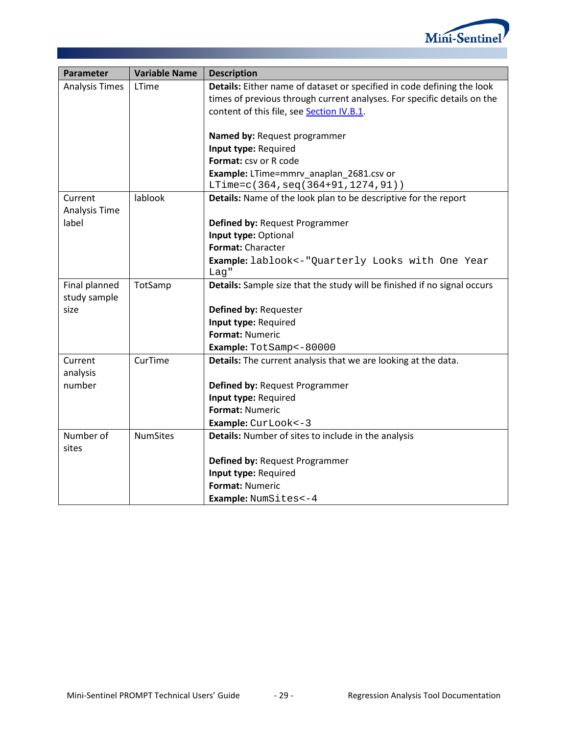

| Parameter             | <b>Variable Name</b> | <b>Description</b>                                                       |
|-----------------------|----------------------|--------------------------------------------------------------------------|
| <b>Analysis Times</b> | LTime                | Details: Either name of dataset or specified in code defining the look   |
|                       |                      | times of previous through current analyses. For specific details on the  |
|                       |                      | content of this file, see Section IV.B.1.                                |
|                       |                      |                                                                          |
|                       |                      | Named by: Request programmer                                             |
|                       |                      | Input type: Required                                                     |
|                       |                      | Format: csv or R code                                                    |
|                       |                      | Example: LTime=mmrv anaplan 2681.csv or                                  |
|                       |                      | LTime=c(364, seq(364+91, 1274, 91))                                      |
| Current               | lablook              | Details: Name of the look plan to be descriptive for the report          |
| Analysis Time         |                      |                                                                          |
| label                 |                      | Defined by: Request Programmer                                           |
|                       |                      | Input type: Optional                                                     |
|                       |                      | Format: Character                                                        |
|                       |                      | <b>Example:</b> lablook <- "Quarterly Looks with One Year                |
|                       |                      | Lag''                                                                    |
| Final planned         | TotSamp              | Details: Sample size that the study will be finished if no signal occurs |
| study sample          |                      |                                                                          |
| size                  |                      | Defined by: Requester                                                    |
|                       |                      | Input type: Required<br><b>Format: Numeric</b>                           |
|                       |                      |                                                                          |
|                       | CurTime              | Example: TotSamp<-80000                                                  |
| Current               |                      | Details: The current analysis that we are looking at the data.           |
| analysis<br>number    |                      |                                                                          |
|                       |                      | Defined by: Request Programmer<br>Input type: Required                   |
|                       |                      | Format: Numeric                                                          |
|                       |                      |                                                                          |
| Number of             | <b>NumSites</b>      | Example: CurLook <- 3                                                    |
| sites                 |                      | Details: Number of sites to include in the analysis                      |
|                       |                      | Defined by: Request Programmer                                           |
|                       |                      | Input type: Required                                                     |
|                       |                      | <b>Format: Numeric</b>                                                   |
|                       |                      | Example: NumSites<-4                                                     |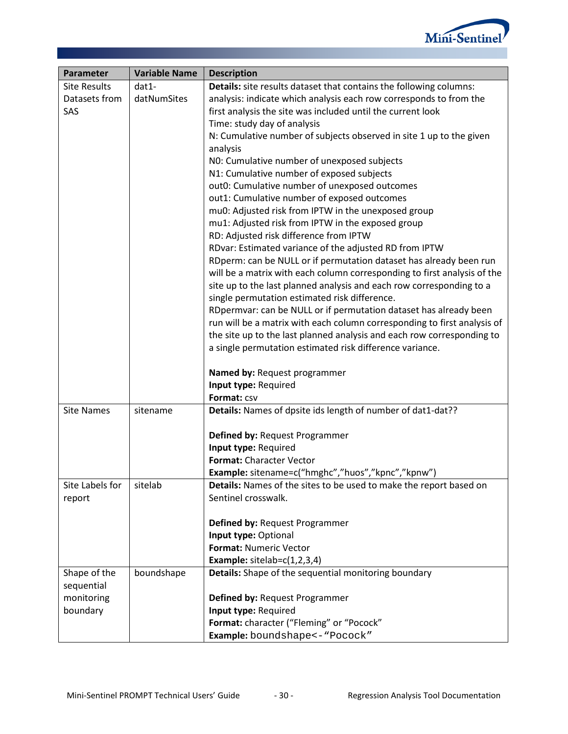

| Parameter           | <b>Variable Name</b> | <b>Description</b>                                                       |
|---------------------|----------------------|--------------------------------------------------------------------------|
| <b>Site Results</b> | dat1-                | Details: site results dataset that contains the following columns:       |
| Datasets from       | datNumSites          | analysis: indicate which analysis each row corresponds to from the       |
| SAS                 |                      | first analysis the site was included until the current look              |
|                     |                      | Time: study day of analysis                                              |
|                     |                      | N: Cumulative number of subjects observed in site 1 up to the given      |
|                     |                      | analysis                                                                 |
|                     |                      | NO: Cumulative number of unexposed subjects                              |
|                     |                      | N1: Cumulative number of exposed subjects                                |
|                     |                      | out0: Cumulative number of unexposed outcomes                            |
|                     |                      | out1: Cumulative number of exposed outcomes                              |
|                     |                      | mu0: Adjusted risk from IPTW in the unexposed group                      |
|                     |                      | mu1: Adjusted risk from IPTW in the exposed group                        |
|                     |                      | RD: Adjusted risk difference from IPTW                                   |
|                     |                      | RDvar: Estimated variance of the adjusted RD from IPTW                   |
|                     |                      | RDperm: can be NULL or if permutation dataset has already been run       |
|                     |                      | will be a matrix with each column corresponding to first analysis of the |
|                     |                      | site up to the last planned analysis and each row corresponding to a     |
|                     |                      | single permutation estimated risk difference.                            |
|                     |                      | RDpermvar: can be NULL or if permutation dataset has already been        |
|                     |                      | run will be a matrix with each column corresponding to first analysis of |
|                     |                      | the site up to the last planned analysis and each row corresponding to   |
|                     |                      | a single permutation estimated risk difference variance.                 |
|                     |                      |                                                                          |
|                     |                      | Named by: Request programmer                                             |
|                     |                      | Input type: Required                                                     |
|                     |                      | Format: CSV                                                              |
| <b>Site Names</b>   | sitename             | Details: Names of dpsite ids length of number of dat1-dat??              |
|                     |                      |                                                                          |
|                     |                      | Defined by: Request Programmer                                           |
|                     |                      | Input type: Required                                                     |
|                     |                      | Format: Character Vector                                                 |
|                     |                      | Example: sitename=c("hmghc","huos","kpnc","kpnw")                        |
| Site Labels for     | sitelab              | Details: Names of the sites to be used to make the report based on       |
| report              |                      | Sentinel crosswalk.                                                      |
|                     |                      |                                                                          |
|                     |                      | Defined by: Request Programmer                                           |
|                     |                      | Input type: Optional                                                     |
|                     |                      | <b>Format: Numeric Vector</b>                                            |
|                     |                      | Example: $sitelab=c(1,2,3,4)$                                            |
| Shape of the        | boundshape           | Details: Shape of the sequential monitoring boundary                     |
| sequential          |                      |                                                                          |
| monitoring          |                      | Defined by: Request Programmer                                           |
| boundary            |                      | Input type: Required                                                     |
|                     |                      | Format: character ("Fleming" or "Pocock"                                 |
|                     |                      | Example: boundshape<-"Pocock"                                            |